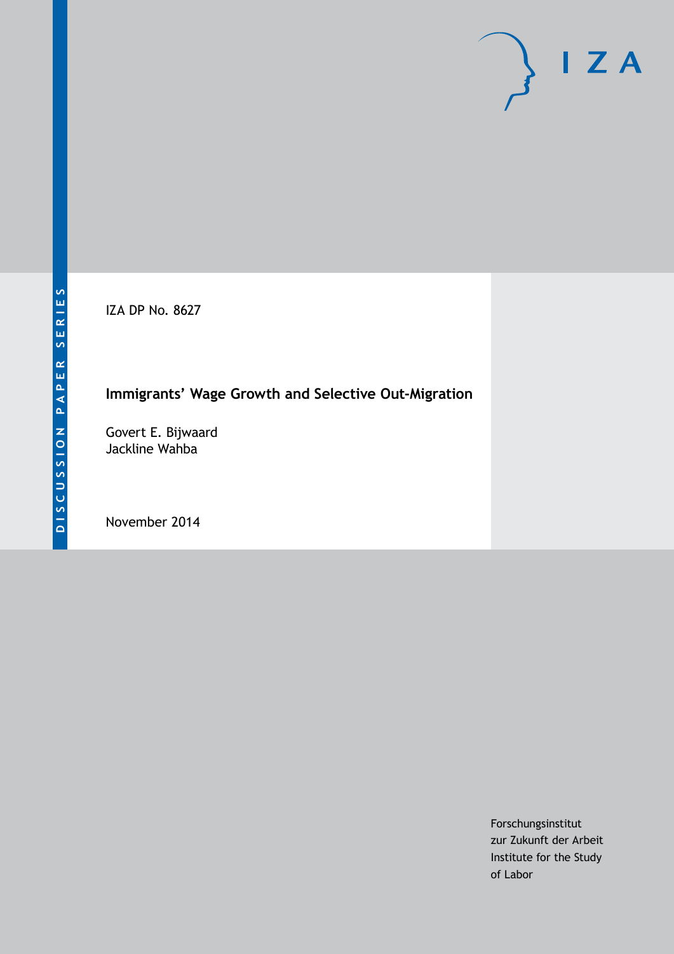IZA DP No. 8627

# **Immigrants' Wage Growth and Selective Out-Migration**

Govert E. Bijwaard Jackline Wahba

November 2014

Forschungsinstitut zur Zukunft der Arbeit Institute for the Study of Labor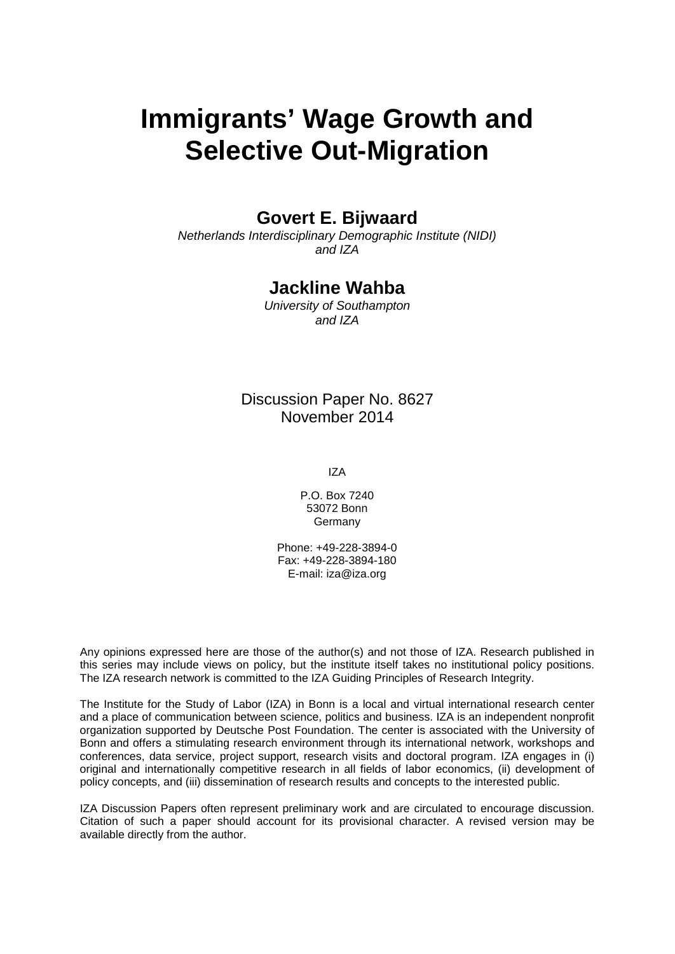# **Immigrants' Wage Growth and Selective Out-Migration**

# **Govert E. Bijwaard**

*Netherlands Interdisciplinary Demographic Institute (NIDI) and IZA*

# **Jackline Wahba**

*University of Southampton and IZA*

Discussion Paper No. 8627 November 2014

IZA

P.O. Box 7240 53072 Bonn Germany

Phone: +49-228-3894-0 Fax: +49-228-3894-180 E-mail: [iza@iza.org](mailto:iza@iza.org)

Any opinions expressed here are those of the author(s) and not those of IZA. Research published in this series may include views on policy, but the institute itself takes no institutional policy positions. The IZA research network is committed to the IZA Guiding Principles of Research Integrity.

The Institute for the Study of Labor (IZA) in Bonn is a local and virtual international research center and a place of communication between science, politics and business. IZA is an independent nonprofit organization supported by Deutsche Post Foundation. The center is associated with the University of Bonn and offers a stimulating research environment through its international network, workshops and conferences, data service, project support, research visits and doctoral program. IZA engages in (i) original and internationally competitive research in all fields of labor economics, (ii) development of policy concepts, and (iii) dissemination of research results and concepts to the interested public.

<span id="page-1-0"></span>IZA Discussion Papers often represent preliminary work and are circulated to encourage discussion. Citation of such a paper should account for its provisional character. A revised version may be available directly from the author.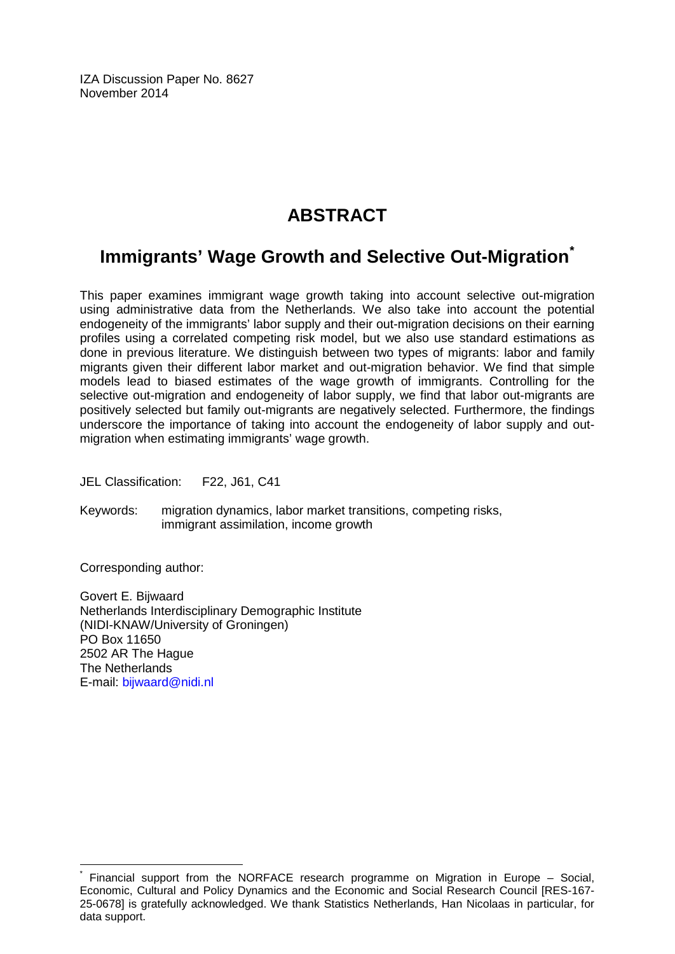IZA Discussion Paper No. 8627 November 2014

# **ABSTRACT**

# **Immigrants' Wage Growth and Selective Out-Migration[\\*](#page-1-0)**

This paper examines immigrant wage growth taking into account selective out-migration using administrative data from the Netherlands. We also take into account the potential endogeneity of the immigrants' labor supply and their out-migration decisions on their earning profiles using a correlated competing risk model, but we also use standard estimations as done in previous literature. We distinguish between two types of migrants: labor and family migrants given their different labor market and out-migration behavior. We find that simple models lead to biased estimates of the wage growth of immigrants. Controlling for the selective out-migration and endogeneity of labor supply, we find that labor out-migrants are positively selected but family out-migrants are negatively selected. Furthermore, the findings underscore the importance of taking into account the endogeneity of labor supply and outmigration when estimating immigrants' wage growth.

JEL Classification: F22, J61, C41

Keywords: migration dynamics, labor market transitions, competing risks, immigrant assimilation, income growth

Corresponding author:

Govert E. Bijwaard Netherlands Interdisciplinary Demographic Institute (NIDI-KNAW/University of Groningen) PO Box 11650 2502 AR The Hague The Netherlands E-mail: [bijwaard@nidi.nl](mailto:bijwaard@nidi.nl)

Financial support from the NORFACE research programme on Migration in Europe – Social, Economic, Cultural and Policy Dynamics and the Economic and Social Research Council [RES-167- 25-0678] is gratefully acknowledged. We thank Statistics Netherlands, Han Nicolaas in particular, for data support.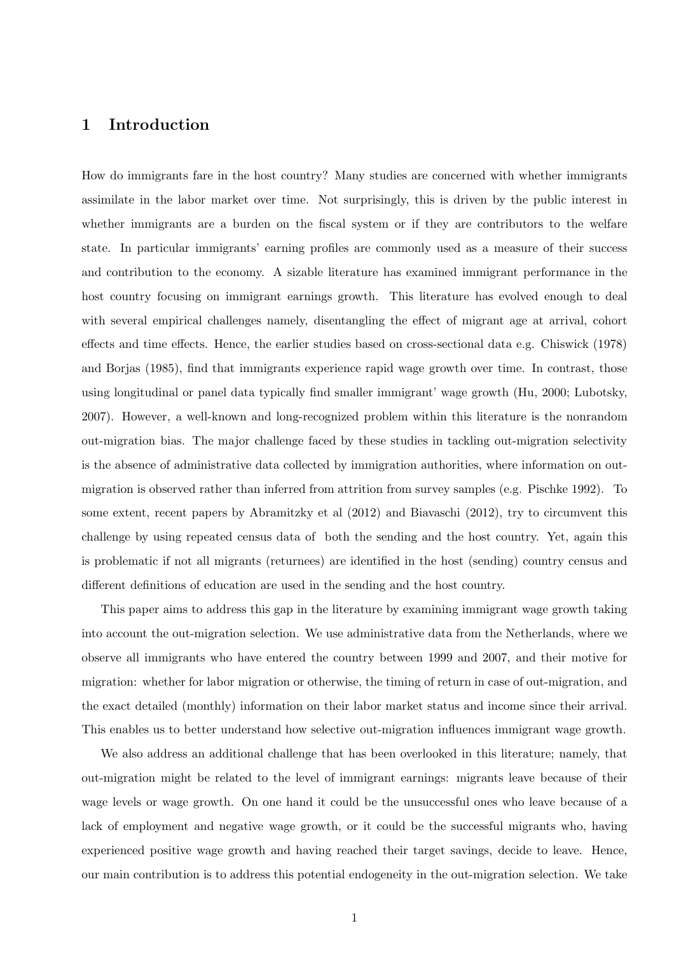### 1 Introduction

How do immigrants fare in the host country? Many studies are concerned with whether immigrants assimilate in the labor market over time. Not surprisingly, this is driven by the public interest in whether immigrants are a burden on the fiscal system or if they are contributors to the welfare state. In particular immigrants' earning profiles are commonly used as a measure of their success and contribution to the economy. A sizable literature has examined immigrant performance in the host country focusing on immigrant earnings growth. This literature has evolved enough to deal with several empirical challenges namely, disentangling the effect of migrant age at arrival, cohort effects and time effects. Hence, the earlier studies based on cross-sectional data e.g. Chiswick (1978) and Borjas (1985), find that immigrants experience rapid wage growth over time. In contrast, those using longitudinal or panel data typically find smaller immigrant' wage growth (Hu, 2000; Lubotsky, 2007). However, a well-known and long-recognized problem within this literature is the nonrandom out-migration bias. The major challenge faced by these studies in tackling out-migration selectivity is the absence of administrative data collected by immigration authorities, where information on outmigration is observed rather than inferred from attrition from survey samples (e.g. Pischke 1992). To some extent, recent papers by Abramitzky et al (2012) and Biavaschi (2012), try to circumvent this challenge by using repeated census data of both the sending and the host country. Yet, again this is problematic if not all migrants (returnees) are identified in the host (sending) country census and different definitions of education are used in the sending and the host country.

This paper aims to address this gap in the literature by examining immigrant wage growth taking into account the out-migration selection. We use administrative data from the Netherlands, where we observe all immigrants who have entered the country between 1999 and 2007, and their motive for migration: whether for labor migration or otherwise, the timing of return in case of out-migration, and the exact detailed (monthly) information on their labor market status and income since their arrival. This enables us to better understand how selective out-migration influences immigrant wage growth.

We also address an additional challenge that has been overlooked in this literature; namely, that out-migration might be related to the level of immigrant earnings: migrants leave because of their wage levels or wage growth. On one hand it could be the unsuccessful ones who leave because of a lack of employment and negative wage growth, or it could be the successful migrants who, having experienced positive wage growth and having reached their target savings, decide to leave. Hence, our main contribution is to address this potential endogeneity in the out-migration selection. We take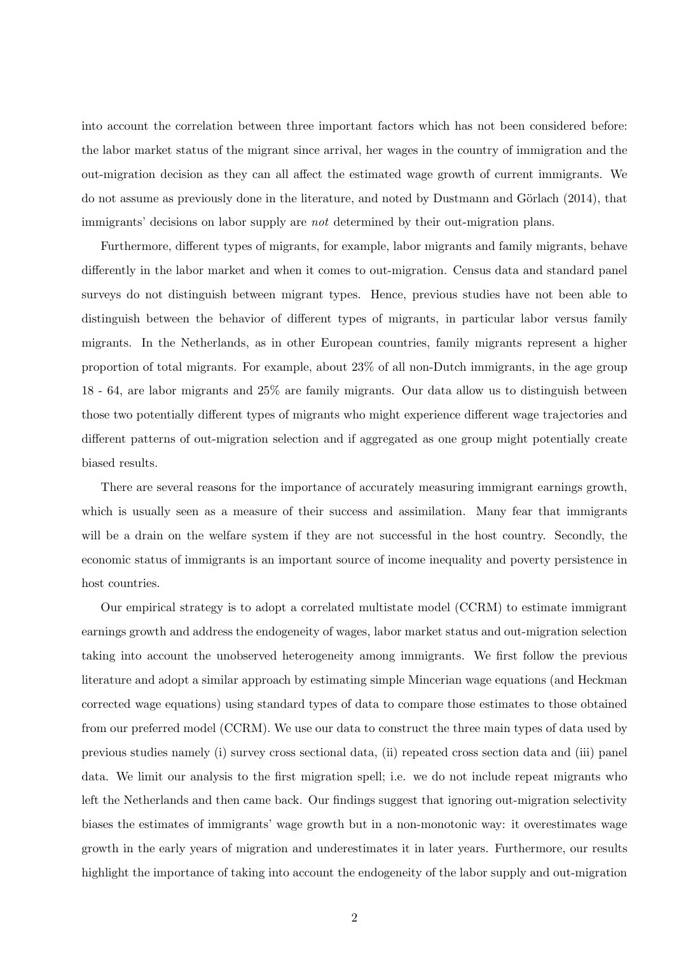into account the correlation between three important factors which has not been considered before: the labor market status of the migrant since arrival, her wages in the country of immigration and the out-migration decision as they can all affect the estimated wage growth of current immigrants. We do not assume as previously done in the literature, and noted by Dustmann and Görlach  $(2014)$ , that immigrants' decisions on labor supply are not determined by their out-migration plans.

Furthermore, different types of migrants, for example, labor migrants and family migrants, behave differently in the labor market and when it comes to out-migration. Census data and standard panel surveys do not distinguish between migrant types. Hence, previous studies have not been able to distinguish between the behavior of different types of migrants, in particular labor versus family migrants. In the Netherlands, as in other European countries, family migrants represent a higher proportion of total migrants. For example, about 23% of all non-Dutch immigrants, in the age group 18 - 64, are labor migrants and 25% are family migrants. Our data allow us to distinguish between those two potentially different types of migrants who might experience different wage trajectories and different patterns of out-migration selection and if aggregated as one group might potentially create biased results.

There are several reasons for the importance of accurately measuring immigrant earnings growth, which is usually seen as a measure of their success and assimilation. Many fear that immigrants will be a drain on the welfare system if they are not successful in the host country. Secondly, the economic status of immigrants is an important source of income inequality and poverty persistence in host countries.

Our empirical strategy is to adopt a correlated multistate model (CCRM) to estimate immigrant earnings growth and address the endogeneity of wages, labor market status and out-migration selection taking into account the unobserved heterogeneity among immigrants. We first follow the previous literature and adopt a similar approach by estimating simple Mincerian wage equations (and Heckman corrected wage equations) using standard types of data to compare those estimates to those obtained from our preferred model (CCRM). We use our data to construct the three main types of data used by previous studies namely (i) survey cross sectional data, (ii) repeated cross section data and (iii) panel data. We limit our analysis to the first migration spell; i.e. we do not include repeat migrants who left the Netherlands and then came back. Our findings suggest that ignoring out-migration selectivity biases the estimates of immigrants' wage growth but in a non-monotonic way: it overestimates wage growth in the early years of migration and underestimates it in later years. Furthermore, our results highlight the importance of taking into account the endogeneity of the labor supply and out-migration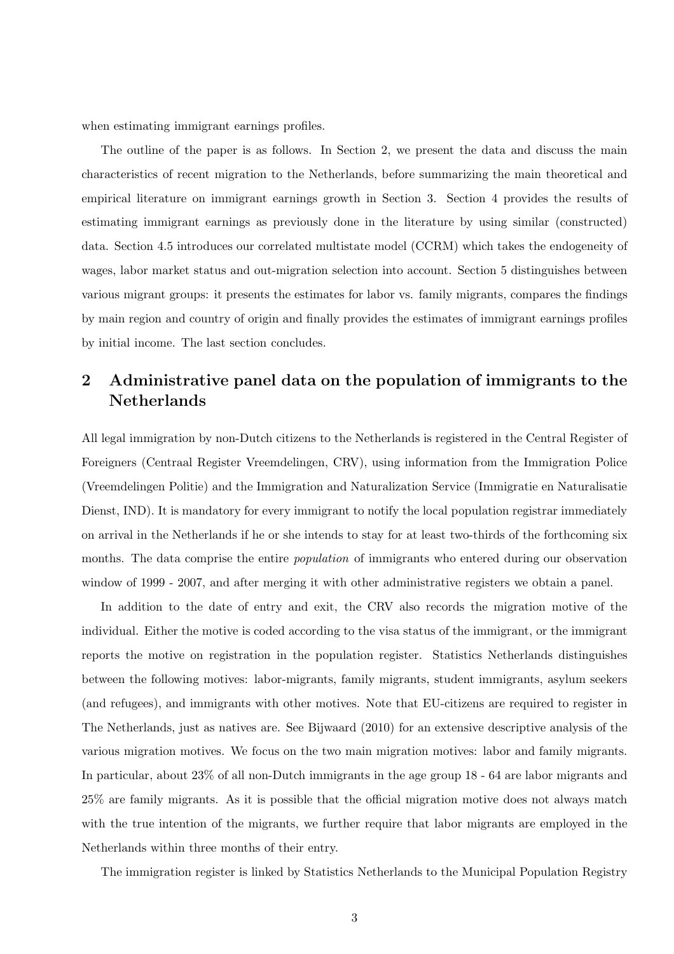when estimating immigrant earnings profiles.

The outline of the paper is as follows. In Section 2, we present the data and discuss the main characteristics of recent migration to the Netherlands, before summarizing the main theoretical and empirical literature on immigrant earnings growth in Section 3. Section 4 provides the results of estimating immigrant earnings as previously done in the literature by using similar (constructed) data. Section 4.5 introduces our correlated multistate model (CCRM) which takes the endogeneity of wages, labor market status and out-migration selection into account. Section 5 distinguishes between various migrant groups: it presents the estimates for labor vs. family migrants, compares the findings by main region and country of origin and finally provides the estimates of immigrant earnings profiles by initial income. The last section concludes.

# 2 Administrative panel data on the population of immigrants to the Netherlands

All legal immigration by non-Dutch citizens to the Netherlands is registered in the Central Register of Foreigners (Centraal Register Vreemdelingen, CRV), using information from the Immigration Police (Vreemdelingen Politie) and the Immigration and Naturalization Service (Immigratie en Naturalisatie Dienst, IND). It is mandatory for every immigrant to notify the local population registrar immediately on arrival in the Netherlands if he or she intends to stay for at least two-thirds of the forthcoming six months. The data comprise the entire *population* of immigrants who entered during our observation window of 1999 - 2007, and after merging it with other administrative registers we obtain a panel.

In addition to the date of entry and exit, the CRV also records the migration motive of the individual. Either the motive is coded according to the visa status of the immigrant, or the immigrant reports the motive on registration in the population register. Statistics Netherlands distinguishes between the following motives: labor-migrants, family migrants, student immigrants, asylum seekers (and refugees), and immigrants with other motives. Note that EU-citizens are required to register in The Netherlands, just as natives are. See Bijwaard (2010) for an extensive descriptive analysis of the various migration motives. We focus on the two main migration motives: labor and family migrants. In particular, about 23% of all non-Dutch immigrants in the age group 18 - 64 are labor migrants and 25% are family migrants. As it is possible that the official migration motive does not always match with the true intention of the migrants, we further require that labor migrants are employed in the Netherlands within three months of their entry.

The immigration register is linked by Statistics Netherlands to the Municipal Population Registry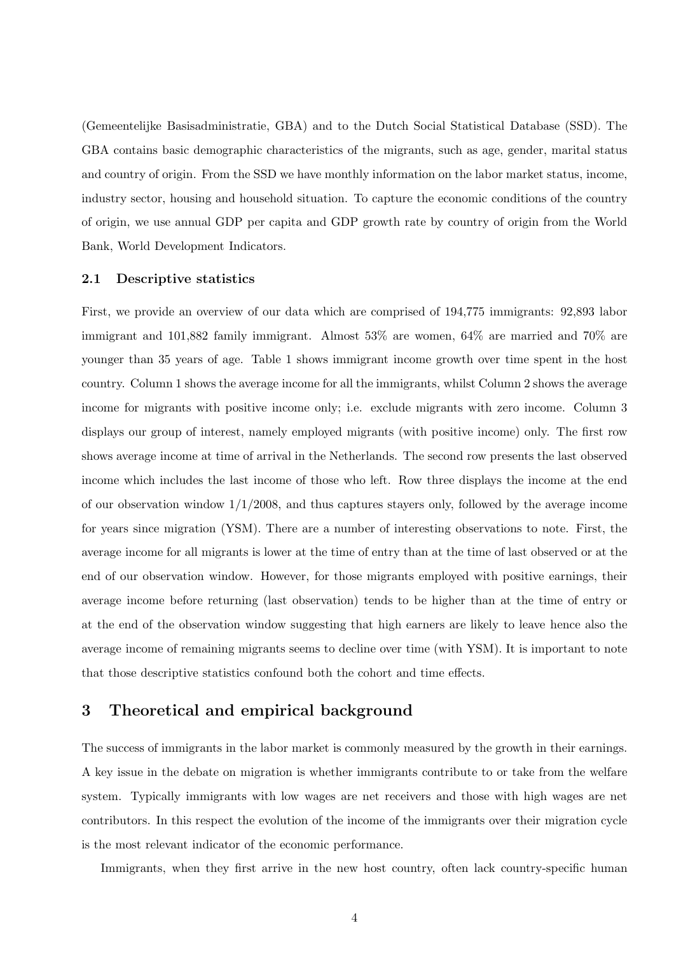(Gemeentelijke Basisadministratie, GBA) and to the Dutch Social Statistical Database (SSD). The GBA contains basic demographic characteristics of the migrants, such as age, gender, marital status and country of origin. From the SSD we have monthly information on the labor market status, income, industry sector, housing and household situation. To capture the economic conditions of the country of origin, we use annual GDP per capita and GDP growth rate by country of origin from the World Bank, World Development Indicators.

#### 2.1 Descriptive statistics

First, we provide an overview of our data which are comprised of 194,775 immigrants: 92,893 labor immigrant and 101,882 family immigrant. Almost 53% are women, 64% are married and 70% are younger than 35 years of age. Table 1 shows immigrant income growth over time spent in the host country. Column 1 shows the average income for all the immigrants, whilst Column 2 shows the average income for migrants with positive income only; i.e. exclude migrants with zero income. Column 3 displays our group of interest, namely employed migrants (with positive income) only. The first row shows average income at time of arrival in the Netherlands. The second row presents the last observed income which includes the last income of those who left. Row three displays the income at the end of our observation window  $1/1/2008$ , and thus captures stayers only, followed by the average income for years since migration (YSM). There are a number of interesting observations to note. First, the average income for all migrants is lower at the time of entry than at the time of last observed or at the end of our observation window. However, for those migrants employed with positive earnings, their average income before returning (last observation) tends to be higher than at the time of entry or at the end of the observation window suggesting that high earners are likely to leave hence also the average income of remaining migrants seems to decline over time (with YSM). It is important to note that those descriptive statistics confound both the cohort and time effects.

## 3 Theoretical and empirical background

The success of immigrants in the labor market is commonly measured by the growth in their earnings. A key issue in the debate on migration is whether immigrants contribute to or take from the welfare system. Typically immigrants with low wages are net receivers and those with high wages are net contributors. In this respect the evolution of the income of the immigrants over their migration cycle is the most relevant indicator of the economic performance.

Immigrants, when they first arrive in the new host country, often lack country-specific human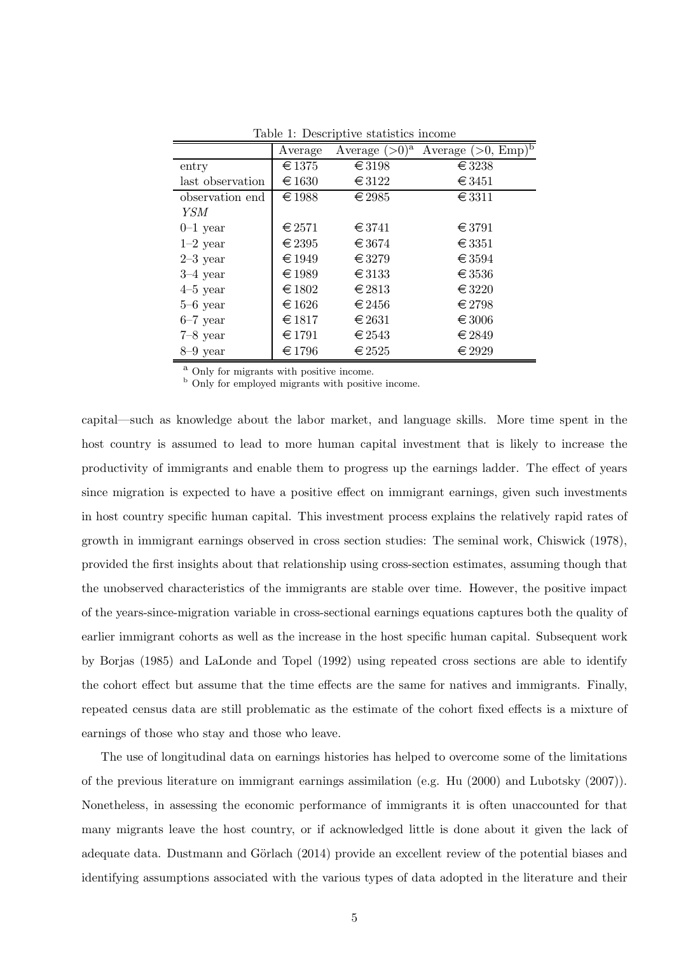|                  | Average         | Average $(>0)^a$ | Average $(>0, E_{\overline{\text{mp}}})^5$ |
|------------------|-----------------|------------------|--------------------------------------------|
| entry            | $\in$ 1375      | $\in$ 3198       | $\in$ 3238                                 |
| last observation | €1630           | $\in$ 3122       | $\in$ 3451                                 |
| observation end  | €1988           | $\epsilon$ 2985  | $\in$ 3311                                 |
| YSM              |                 |                  |                                            |
| $0-1$ year       | $\in$ 2571      | $\epsilon$ 3741  | $\in$ 3791                                 |
| $1-2$ year       | $\in$ 2395      | $\epsilon$ 3674  | $\in$ 3351                                 |
| $2-3$ year       | $\in 1949$      | $\in$ 3279       | $\epsilon$ 3594                            |
| $3-4$ year       | $\in$ 1989      | $\in$ 3133       | $\in$ 3536                                 |
| $4-5$ year       | $\epsilon$ 1802 | $\in$ 2813       | $\in$ 3220                                 |
| $5-6$ year       | $\epsilon$ 1626 | $\in$ 2456       | $\epsilon$ 2798                            |
| $6-7$ year       | $\in$ 1817      | $\in$ 2631       | $\epsilon$ 3006                            |
| $7-8$ year       | $\in$ 1791      | $\in$ 2543       | $\in$ 2849                                 |
| $8-9$ year       | $\epsilon$ 1796 | $\epsilon$ 2525  | $\in$ 2929                                 |

Table 1: Descriptive statistics income

<sup>a</sup> Only for migrants with positive income.

<sup>b</sup> Only for employed migrants with positive income.

capital—such as knowledge about the labor market, and language skills. More time spent in the host country is assumed to lead to more human capital investment that is likely to increase the productivity of immigrants and enable them to progress up the earnings ladder. The effect of years since migration is expected to have a positive effect on immigrant earnings, given such investments in host country specific human capital. This investment process explains the relatively rapid rates of growth in immigrant earnings observed in cross section studies: The seminal work, Chiswick (1978), provided the first insights about that relationship using cross-section estimates, assuming though that the unobserved characteristics of the immigrants are stable over time. However, the positive impact of the years-since-migration variable in cross-sectional earnings equations captures both the quality of earlier immigrant cohorts as well as the increase in the host specific human capital. Subsequent work by Borjas (1985) and LaLonde and Topel (1992) using repeated cross sections are able to identify the cohort effect but assume that the time effects are the same for natives and immigrants. Finally, repeated census data are still problematic as the estimate of the cohort fixed effects is a mixture of earnings of those who stay and those who leave.

The use of longitudinal data on earnings histories has helped to overcome some of the limitations of the previous literature on immigrant earnings assimilation (e.g. Hu (2000) and Lubotsky (2007)). Nonetheless, in assessing the economic performance of immigrants it is often unaccounted for that many migrants leave the host country, or if acknowledged little is done about it given the lack of adequate data. Dustmann and Görlach (2014) provide an excellent review of the potential biases and identifying assumptions associated with the various types of data adopted in the literature and their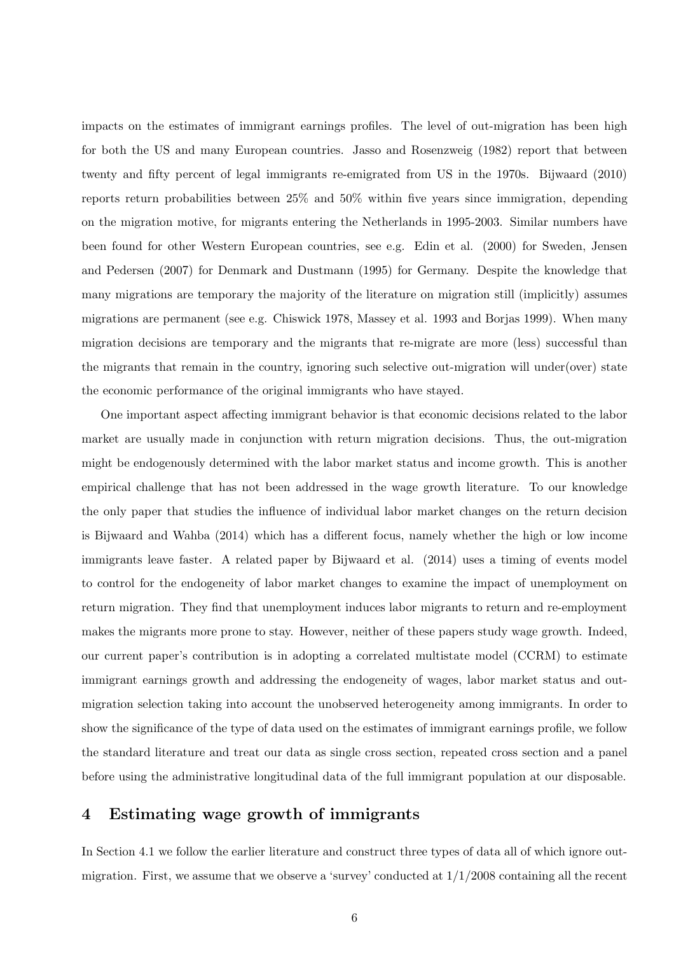impacts on the estimates of immigrant earnings profiles. The level of out-migration has been high for both the US and many European countries. Jasso and Rosenzweig (1982) report that between twenty and fifty percent of legal immigrants re-emigrated from US in the 1970s. Bijwaard (2010) reports return probabilities between 25% and 50% within five years since immigration, depending on the migration motive, for migrants entering the Netherlands in 1995-2003. Similar numbers have been found for other Western European countries, see e.g. Edin et al. (2000) for Sweden, Jensen and Pedersen (2007) for Denmark and Dustmann (1995) for Germany. Despite the knowledge that many migrations are temporary the majority of the literature on migration still (implicitly) assumes migrations are permanent (see e.g. Chiswick 1978, Massey et al. 1993 and Borjas 1999). When many migration decisions are temporary and the migrants that re-migrate are more (less) successful than the migrants that remain in the country, ignoring such selective out-migration will under(over) state the economic performance of the original immigrants who have stayed.

One important aspect affecting immigrant behavior is that economic decisions related to the labor market are usually made in conjunction with return migration decisions. Thus, the out-migration might be endogenously determined with the labor market status and income growth. This is another empirical challenge that has not been addressed in the wage growth literature. To our knowledge the only paper that studies the influence of individual labor market changes on the return decision is Bijwaard and Wahba (2014) which has a different focus, namely whether the high or low income immigrants leave faster. A related paper by Bijwaard et al. (2014) uses a timing of events model to control for the endogeneity of labor market changes to examine the impact of unemployment on return migration. They find that unemployment induces labor migrants to return and re-employment makes the migrants more prone to stay. However, neither of these papers study wage growth. Indeed, our current paper's contribution is in adopting a correlated multistate model (CCRM) to estimate immigrant earnings growth and addressing the endogeneity of wages, labor market status and outmigration selection taking into account the unobserved heterogeneity among immigrants. In order to show the significance of the type of data used on the estimates of immigrant earnings profile, we follow the standard literature and treat our data as single cross section, repeated cross section and a panel before using the administrative longitudinal data of the full immigrant population at our disposable.

### 4 Estimating wage growth of immigrants

In Section 4.1 we follow the earlier literature and construct three types of data all of which ignore outmigration. First, we assume that we observe a 'survey' conducted at  $1/1/2008$  containing all the recent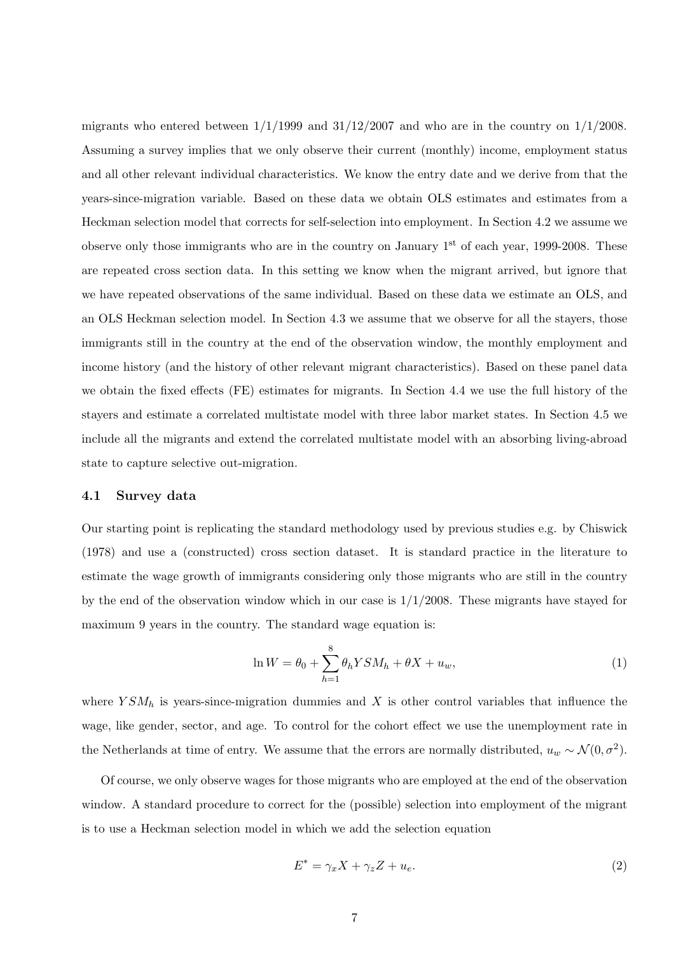migrants who entered between  $1/1/1999$  and  $31/12/2007$  and who are in the country on  $1/1/2008$ . Assuming a survey implies that we only observe their current (monthly) income, employment status and all other relevant individual characteristics. We know the entry date and we derive from that the years-since-migration variable. Based on these data we obtain OLS estimates and estimates from a Heckman selection model that corrects for self-selection into employment. In Section 4.2 we assume we observe only those immigrants who are in the country on January  $1<sup>st</sup>$  of each year, 1999-2008. These are repeated cross section data. In this setting we know when the migrant arrived, but ignore that we have repeated observations of the same individual. Based on these data we estimate an OLS, and an OLS Heckman selection model. In Section 4.3 we assume that we observe for all the stayers, those immigrants still in the country at the end of the observation window, the monthly employment and income history (and the history of other relevant migrant characteristics). Based on these panel data we obtain the fixed effects (FE) estimates for migrants. In Section 4.4 we use the full history of the stayers and estimate a correlated multistate model with three labor market states. In Section 4.5 we include all the migrants and extend the correlated multistate model with an absorbing living-abroad state to capture selective out-migration.

#### 4.1 Survey data

Our starting point is replicating the standard methodology used by previous studies e.g. by Chiswick (1978) and use a (constructed) cross section dataset. It is standard practice in the literature to estimate the wage growth of immigrants considering only those migrants who are still in the country by the end of the observation window which in our case is  $1/1/2008$ . These migrants have stayed for maximum 9 years in the country. The standard wage equation is:

$$
\ln W = \theta_0 + \sum_{h=1}^{8} \theta_h Y S M_h + \theta X + u_w, \qquad (1)
$$

where  $YSM_h$  is years-since-migration dummies and X is other control variables that influence the wage, like gender, sector, and age. To control for the cohort effect we use the unemployment rate in the Netherlands at time of entry. We assume that the errors are normally distributed,  $u_w \sim \mathcal{N}(0, \sigma^2)$ .

Of course, we only observe wages for those migrants who are employed at the end of the observation window. A standard procedure to correct for the (possible) selection into employment of the migrant is to use a Heckman selection model in which we add the selection equation

$$
E^* = \gamma_x X + \gamma_z Z + u_e. \tag{2}
$$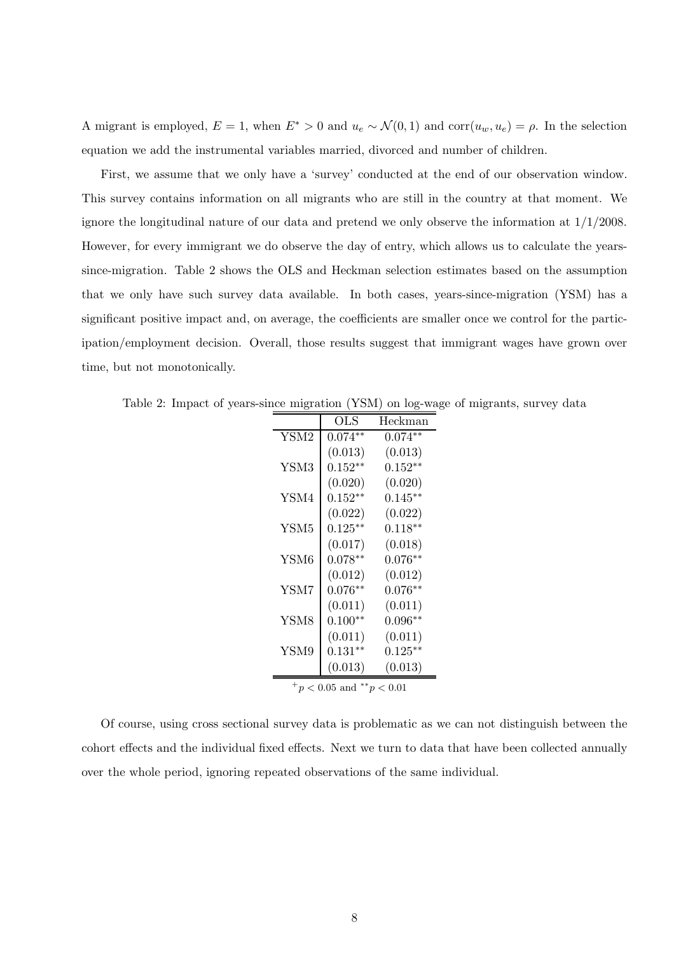A migrant is employed,  $E = 1$ , when  $E^* > 0$  and  $u_e \sim \mathcal{N}(0, 1)$  and  $corr(u_w, u_e) = \rho$ . In the selection equation we add the instrumental variables married, divorced and number of children.

First, we assume that we only have a 'survey' conducted at the end of our observation window. This survey contains information on all migrants who are still in the country at that moment. We ignore the longitudinal nature of our data and pretend we only observe the information at 1/1/2008. However, for every immigrant we do observe the day of entry, which allows us to calculate the yearssince-migration. Table 2 shows the OLS and Heckman selection estimates based on the assumption that we only have such survey data available. In both cases, years-since-migration (YSM) has a significant positive impact and, on average, the coefficients are smaller once we control for the participation/employment decision. Overall, those results suggest that immigrant wages have grown over time, but not monotonically.

Table 2: Impact of years-since migration (YSM) on log-wage of migrants, survey data

|                  | $_{\rm OLS}$       | Heckman      |
|------------------|--------------------|--------------|
| YSM2             | $0.074**$          | $0.074**$    |
|                  | (0.013)            | (0.013)      |
| YSM3             | $0.152^{\ast\ast}$ | $0.152**$    |
|                  | (0.020)            | (0.020)      |
| YSM4             | $0.152^{\ast\ast}$ | $0.145**$    |
|                  | (0.022)            | (0.022)      |
| YSM <sub>5</sub> | $0.125***$         | $0.118**$    |
|                  | (0.017)            | (0.018)      |
| YSM <sub>6</sub> | $0.078**$          | $0.076**$    |
|                  | (0.012)            | (0.012)      |
| YSM7             | $0.076**$          | $0.076**$    |
|                  | (0.011)            | (0.011)      |
| YSM8             | $0.100**$          | $0.096^{**}$ |
|                  | (0.011)            | (0.011)      |
| YSM9             | $0.131**$          | $0.125***$   |
|                  | (0.013)            | (0.013)      |
|                  |                    |              |

 $^{+}p$  < 0.05 and \*\*p < 0.01

Of course, using cross sectional survey data is problematic as we can not distinguish between the cohort effects and the individual fixed effects. Next we turn to data that have been collected annually over the whole period, ignoring repeated observations of the same individual.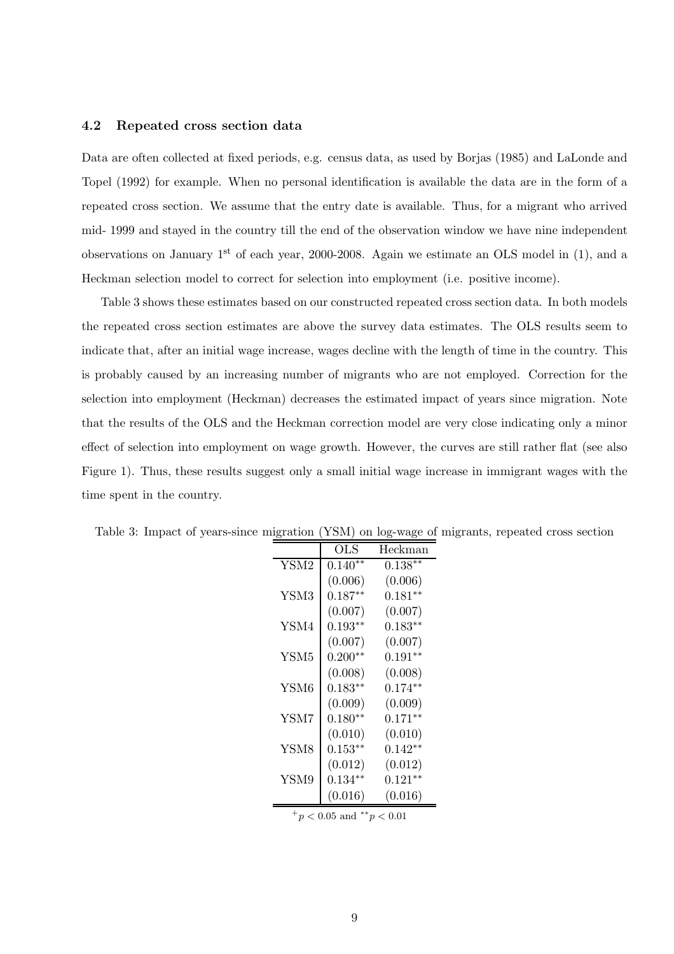#### 4.2 Repeated cross section data

Data are often collected at fixed periods, e.g. census data, as used by Borjas (1985) and LaLonde and Topel (1992) for example. When no personal identification is available the data are in the form of a repeated cross section. We assume that the entry date is available. Thus, for a migrant who arrived mid- 1999 and stayed in the country till the end of the observation window we have nine independent observations on January 1st of each year, 2000-2008. Again we estimate an OLS model in (1), and a Heckman selection model to correct for selection into employment (i.e. positive income).

Table 3 shows these estimates based on our constructed repeated cross section data. In both models the repeated cross section estimates are above the survey data estimates. The OLS results seem to indicate that, after an initial wage increase, wages decline with the length of time in the country. This is probably caused by an increasing number of migrants who are not employed. Correction for the selection into employment (Heckman) decreases the estimated impact of years since migration. Note that the results of the OLS and the Heckman correction model are very close indicating only a minor effect of selection into employment on wage growth. However, the curves are still rather flat (see also Figure 1). Thus, these results suggest only a small initial wage increase in immigrant wages with the time spent in the country.

|                  | $_{\rm OLS}$ | Heckman   |
|------------------|--------------|-----------|
| YSM2             | $0.140**$    | $0.138**$ |
|                  | (0.006)      | (0.006)   |
| YSM3             | $0.187**$    | $0.181**$ |
|                  | (0.007)      | (0.007)   |
| YSM4             | $0.193**$    | $0.183**$ |
|                  | (0.007)      | (0.007)   |
| YSM <sub>5</sub> | $0.200**$    | $0.191**$ |
|                  | (0.008)      | (0.008)   |
| YSM6             | $0.183**$    | $0.174**$ |
|                  | (0.009)      | (0.009)   |
| YSM7             | $0.180**$    | $0.171**$ |
|                  | (0.010)      | (0.010)   |
| YSM8             | $0.153**$    | $0.142**$ |
|                  | (0.012)      | (0.012)   |
| YSM9             | $0.134**$    | $0.121**$ |
|                  | (0.016)      | (0.016)   |
|                  |              |           |

Table 3: Impact of years-since migration (YSM) on log-wage of migrants, repeated cross section

 $^{+}p$  < 0.05 and  $^{**}p$  < 0.01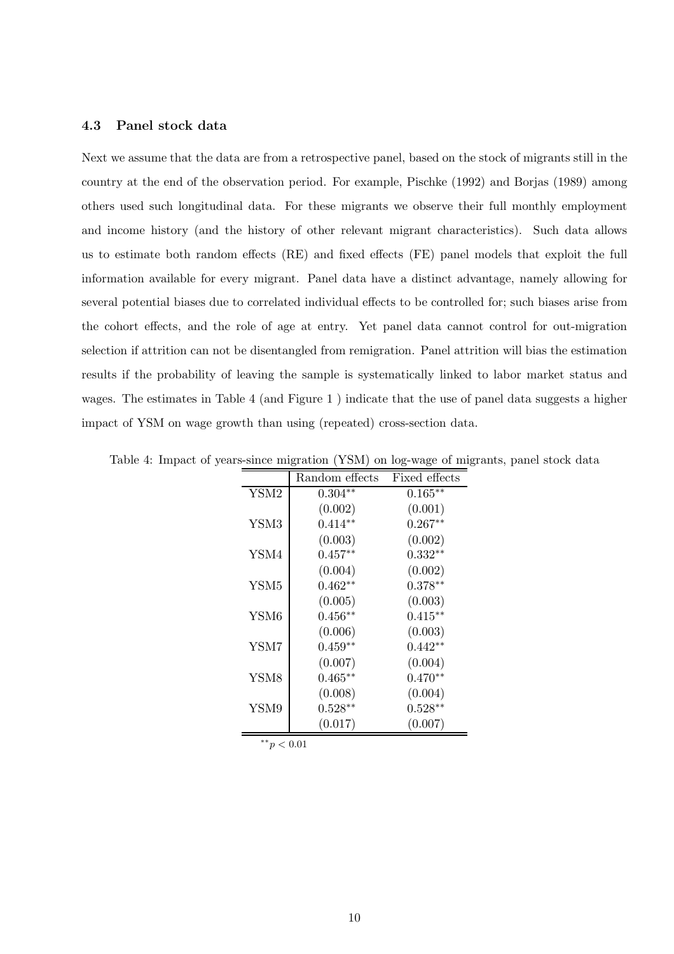#### 4.3 Panel stock data

Next we assume that the data are from a retrospective panel, based on the stock of migrants still in the country at the end of the observation period. For example, Pischke (1992) and Borjas (1989) among others used such longitudinal data. For these migrants we observe their full monthly employment and income history (and the history of other relevant migrant characteristics). Such data allows us to estimate both random effects (RE) and fixed effects (FE) panel models that exploit the full information available for every migrant. Panel data have a distinct advantage, namely allowing for several potential biases due to correlated individual effects to be controlled for; such biases arise from the cohort effects, and the role of age at entry. Yet panel data cannot control for out-migration selection if attrition can not be disentangled from remigration. Panel attrition will bias the estimation results if the probability of leaving the sample is systematically linked to labor market status and wages. The estimates in Table 4 (and Figure 1 ) indicate that the use of panel data suggests a higher impact of YSM on wage growth than using (repeated) cross-section data.

Table 4: Impact of years-since migration (YSM) on log-wage of migrants, panel stock data

|                  | Random effects | Fixed effects      |
|------------------|----------------|--------------------|
| YSM2             | $0.304**$      | $0.165***$         |
|                  | (0.002)        | (0.001)            |
| YSM3             | $0.414**$      | $0.267^{\ast\ast}$ |
|                  | (0.003)        | (0.002)            |
| YSM4             | $0.457**$      | $0.332**$          |
|                  | (0.004)        | (0.002)            |
| YSM <sub>5</sub> | $0.462**$      | $0.378^{\ast\ast}$ |
|                  | (0.005)        | (0.003)            |
| YSM <sub>6</sub> | $0.456^{**}$   | $0.415***$         |
|                  | (0.006)        | (0.003)            |
| YSM7             | $0.459**$      | $0.442**$          |
|                  | (0.007)        | (0.004)            |
| YSM <sub>8</sub> | $0.465***$     | $0.470**$          |
|                  | (0.008)        | (0.004)            |
| YSM9             | $0.528**$      | $0.528^{\ast\ast}$ |
|                  | (0.017)        | (0.007)            |

∗∗p < 0.01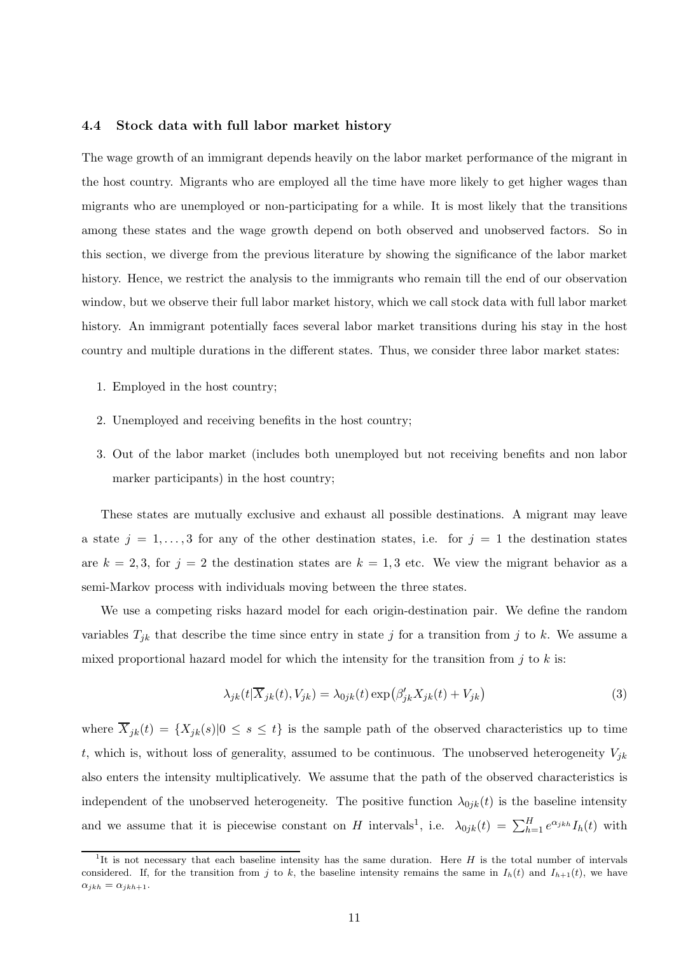#### 4.4 Stock data with full labor market history

The wage growth of an immigrant depends heavily on the labor market performance of the migrant in the host country. Migrants who are employed all the time have more likely to get higher wages than migrants who are unemployed or non-participating for a while. It is most likely that the transitions among these states and the wage growth depend on both observed and unobserved factors. So in this section, we diverge from the previous literature by showing the significance of the labor market history. Hence, we restrict the analysis to the immigrants who remain till the end of our observation window, but we observe their full labor market history, which we call stock data with full labor market history. An immigrant potentially faces several labor market transitions during his stay in the host country and multiple durations in the different states. Thus, we consider three labor market states:

- 1. Employed in the host country;
- 2. Unemployed and receiving benefits in the host country;
- 3. Out of the labor market (includes both unemployed but not receiving benefits and non labor marker participants) in the host country;

These states are mutually exclusive and exhaust all possible destinations. A migrant may leave a state  $j = 1, \ldots, 3$  for any of the other destination states, i.e. for  $j = 1$  the destination states are  $k = 2, 3$ , for  $j = 2$  the destination states are  $k = 1, 3$  etc. We view the migrant behavior as a semi-Markov process with individuals moving between the three states.

We use a competing risks hazard model for each origin-destination pair. We define the random variables  $T_{jk}$  that describe the time since entry in state j for a transition from j to k. We assume a mixed proportional hazard model for which the intensity for the transition from  $j$  to  $k$  is:

$$
\lambda_{jk}(t|\overline{X}_{jk}(t), V_{jk}) = \lambda_{0jk}(t) \exp\left(\beta'_{jk} X_{jk}(t) + V_{jk}\right)
$$
\n(3)

where  $\overline{X}_{jk}(t) = \{X_{jk}(s)|0 \leq s \leq t\}$  is the sample path of the observed characteristics up to time t, which is, without loss of generality, assumed to be continuous. The unobserved heterogeneity  $V_{jk}$ also enters the intensity multiplicatively. We assume that the path of the observed characteristics is independent of the unobserved heterogeneity. The positive function  $\lambda_{0ik}(t)$  is the baseline intensity and we assume that it is piecewise constant on H intervals<sup>1</sup>, i.e.  $\lambda_{0jk}(t) = \sum_{h=1}^{H} e^{\alpha_{jkh}} I_h(t)$  with

<sup>&</sup>lt;sup>1</sup>It is not necessary that each baseline intensity has the same duration. Here  $H$  is the total number of intervals considered. If, for the transition from j to k, the baseline intensity remains the same in  $I_h(t)$  and  $I_{h+1}(t)$ , we have  $\alpha_{jkh} = \alpha_{jkh+1}.$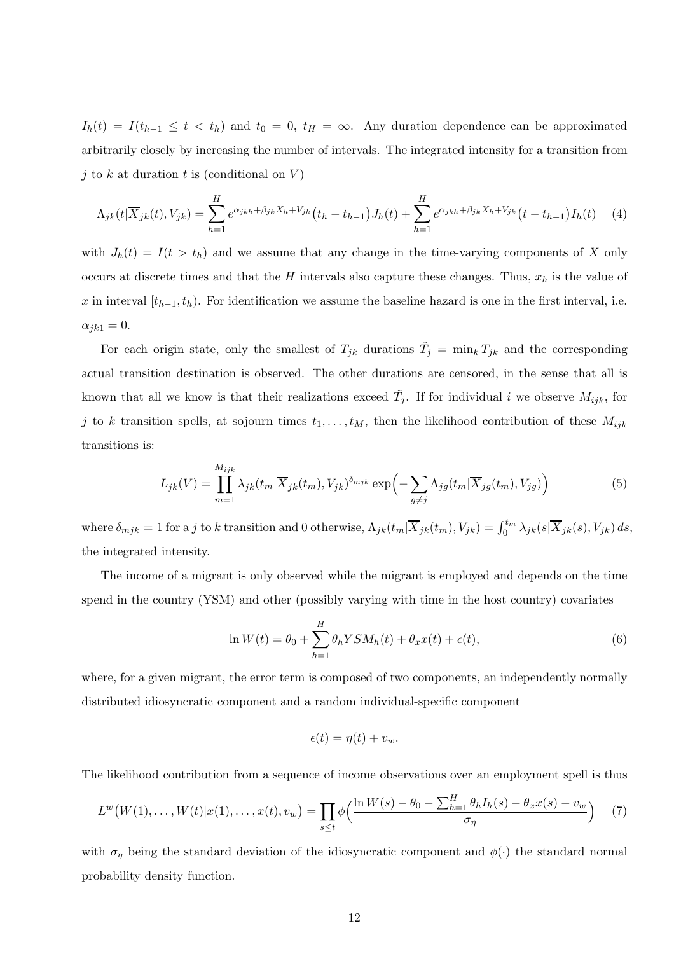$I_h(t) = I(t_{h-1} \leq t \leq t_h)$  and  $t_0 = 0$ ,  $t_H = \infty$ . Any duration dependence can be approximated arbitrarily closely by increasing the number of intervals. The integrated intensity for a transition from j to k at duration t is (conditional on  $V$ )

$$
\Lambda_{jk}(t|\overline{X}_{jk}(t),V_{jk}) = \sum_{h=1}^{H} e^{\alpha_{jkh} + \beta_{jk}X_h + V_{jk}}(t_h - t_{h-1})J_h(t) + \sum_{h=1}^{H} e^{\alpha_{jkh} + \beta_{jk}X_h + V_{jk}}(t - t_{h-1})I_h(t) \tag{4}
$$

with  $J_h(t) = I(t > t_h)$  and we assume that any change in the time-varying components of X only occurs at discrete times and that the H intervals also capture these changes. Thus,  $x_h$  is the value of x in interval  $[t_{h-1}, t_h)$ . For identification we assume the baseline hazard is one in the first interval, i.e.  $\alpha_{ik1} = 0.$ 

For each origin state, only the smallest of  $T_{jk}$  durations  $\tilde{T}_j = \min_k T_{jk}$  and the corresponding actual transition destination is observed. The other durations are censored, in the sense that all is known that all we know is that their realizations exceed  $\tilde{T}_j$ . If for individual i we observe  $M_{ijk}$ , for j to k transition spells, at sojourn times  $t_1, \ldots, t_M$ , then the likelihood contribution of these  $M_{ijk}$ transitions is:

$$
L_{jk}(V) = \prod_{m=1}^{M_{ijk}} \lambda_{jk}(t_m | \overline{X}_{jk}(t_m), V_{jk})^{\delta_{mjk}} \exp\left(-\sum_{g \neq j} \Lambda_{jg}(t_m | \overline{X}_{jg}(t_m), V_{jg})\right)
$$
(5)

where  $\delta_{mjk} = 1$  for a j to k transition and 0 otherwise,  $\Lambda_{jk}(t_m | \overline{X}_{jk}(t_m), V_{jk}) = \int_0^{t_m} \lambda_{jk}(s | \overline{X}_{jk}(s), V_{jk}) ds$ , the integrated intensity.

The income of a migrant is only observed while the migrant is employed and depends on the time spend in the country (YSM) and other (possibly varying with time in the host country) covariates

$$
\ln W(t) = \theta_0 + \sum_{h=1}^{H} \theta_h Y S M_h(t) + \theta_x x(t) + \epsilon(t), \tag{6}
$$

where, for a given migrant, the error term is composed of two components, an independently normally distributed idiosyncratic component and a random individual-specific component

$$
\epsilon(t) = \eta(t) + v_w.
$$

The likelihood contribution from a sequence of income observations over an employment spell is thus

$$
L^{w}(W(1),...,W(t)|x(1),...,x(t),v_{w}) = \prod_{s \leq t} \phi\Big(\frac{\ln W(s) - \theta_{0} - \sum_{h=1}^{H} \theta_{h} I_{h}(s) - \theta_{x} x(s) - v_{w}}{\sigma_{\eta}}\Big) \tag{7}
$$

with  $\sigma_{\eta}$  being the standard deviation of the idiosyncratic component and  $\phi(\cdot)$  the standard normal probability density function.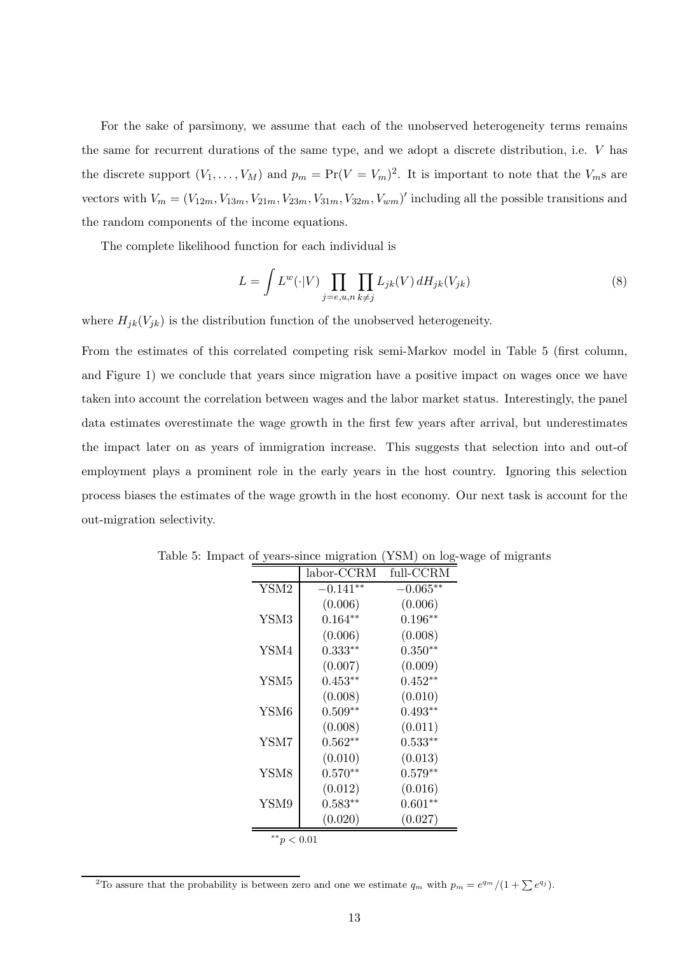For the sake of parsimony, we assume that each of the unobserved heterogeneity terms remains the same for recurrent durations of the same type, and we adopt a discrete distribution, i.e. V has the discrete support  $(V_1, \ldots, V_M)$  and  $p_m = \Pr(V = V_m)^2$ . It is important to note that the  $V_m$ s are vectors with  $V_m = (V_{12m}, V_{13m}, V_{21m}, V_{23m}, V_{31m}, V_{32m}, V_{wm})'$  including all the possible transitions and the random components of the income equations.

The complete likelihood function for each individual is

$$
L = \int L^w(\cdot|V) \prod_{j=e,u,n} \prod_{k \neq j} L_{jk}(V) dH_{jk}(V_{jk})
$$
\n(8)

where  $H_{jk}(V_{jk})$  is the distribution function of the unobserved heterogeneity.

From the estimates of this correlated competing risk semi-Markov model in Table 5 (first column, and Figure 1) we conclude that years since migration have a positive impact on wages once we have taken into account the correlation between wages and the labor market status. Interestingly, the panel data estimates overestimate the wage growth in the first few years after arrival, but underestimates the impact later on as years of immigration increase. This suggests that selection into and out-of employment plays a prominent role in the early years in the host country. Ignoring this selection process biases the estimates of the wage growth in the host economy. Our next task is account for the out-migration selectivity.

|                  | labor-CCRM | full-CCRM          |
|------------------|------------|--------------------|
| YSM2             | $-0.141**$ | $-0.065**$         |
|                  | (0.006)    | (0.006)            |
| YSM3             | $0.164**$  | $0.196**$          |
|                  | (0.006)    | (0.008)            |
| YSM4             | $0.333**$  | $0.350**$          |
|                  | (0.007)    | (0.009)            |
| YSM <sub>5</sub> | $0.453**$  | $0.452^{\ast\ast}$ |
|                  | (0.008)    | (0.010)            |
| YSM <sub>6</sub> | $0.509**$  | $0.493**$          |
|                  | (0.008)    | (0.011)            |
| YSM7             | $0.562**$  | $0.533^{\ast\ast}$ |
|                  | (0.010)    | (0.013)            |
| YSM8             | $0.570**$  | $0.579**$          |
|                  | (0.012)    | (0.016)            |
| YSM9             | $0.583**$  | $0.601**$          |
|                  | (0.020)    | (0.027)            |
| ** $p < 0.01$    |            |                    |

Table 5: Impact of years-since migration (YSM) on log-wage of migrants

<sup>&</sup>lt;sup>2</sup>To assure that the probability is between zero and one we estimate  $q_m$  with  $p_m = e^{q_m}/(1 + \sum e^{q_j})$ .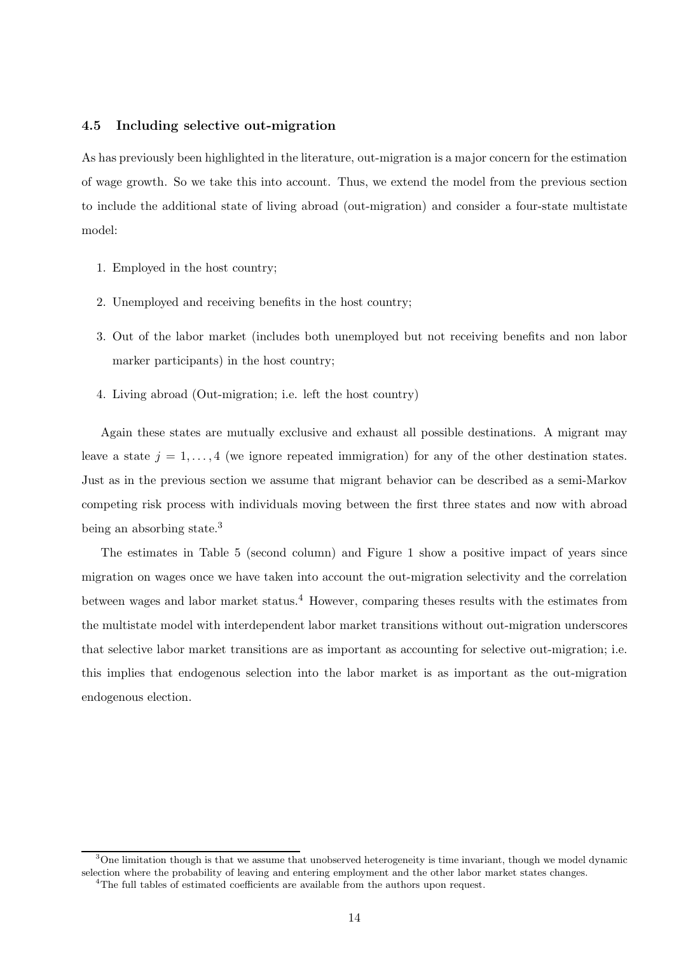#### 4.5 Including selective out-migration

As has previously been highlighted in the literature, out-migration is a major concern for the estimation of wage growth. So we take this into account. Thus, we extend the model from the previous section to include the additional state of living abroad (out-migration) and consider a four-state multistate model:

- 1. Employed in the host country;
- 2. Unemployed and receiving benefits in the host country;
- 3. Out of the labor market (includes both unemployed but not receiving benefits and non labor marker participants) in the host country;
- 4. Living abroad (Out-migration; i.e. left the host country)

Again these states are mutually exclusive and exhaust all possible destinations. A migrant may leave a state  $j = 1, \ldots, 4$  (we ignore repeated immigration) for any of the other destination states. Just as in the previous section we assume that migrant behavior can be described as a semi-Markov competing risk process with individuals moving between the first three states and now with abroad being an absorbing state.<sup>3</sup>

The estimates in Table 5 (second column) and Figure 1 show a positive impact of years since migration on wages once we have taken into account the out-migration selectivity and the correlation between wages and labor market status.<sup>4</sup> However, comparing theses results with the estimates from the multistate model with interdependent labor market transitions without out-migration underscores that selective labor market transitions are as important as accounting for selective out-migration; i.e. this implies that endogenous selection into the labor market is as important as the out-migration endogenous election.

 $3$ One limitation though is that we assume that unobserved heterogeneity is time invariant, though we model dynamic selection where the probability of leaving and entering employment and the other labor market states changes. <sup>4</sup>The full tables of estimated coefficients are available from the authors upon request.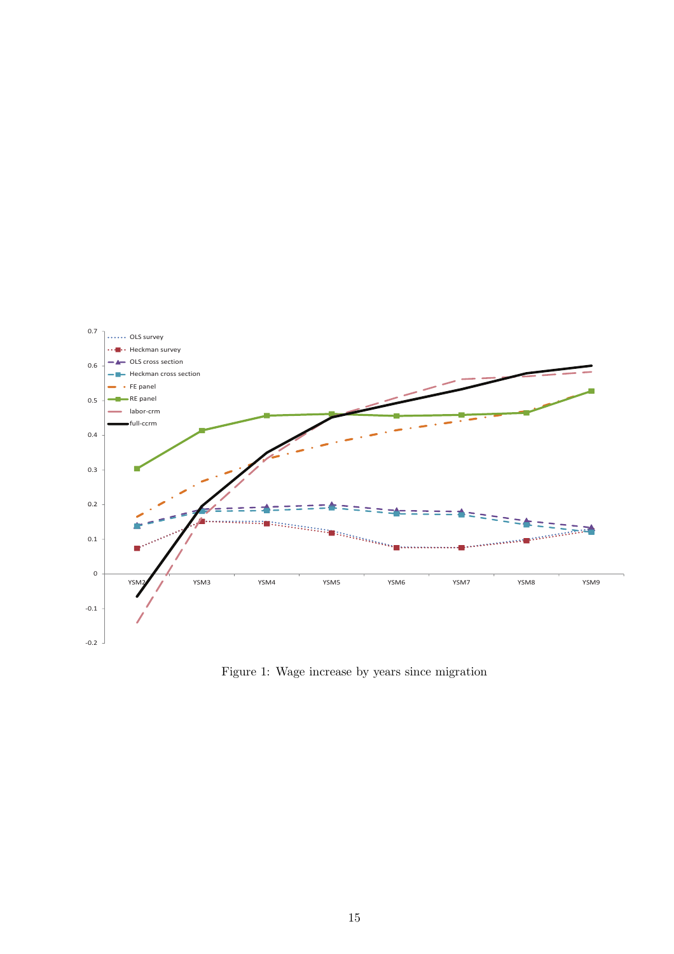

Figure 1: Wage increase by years since migration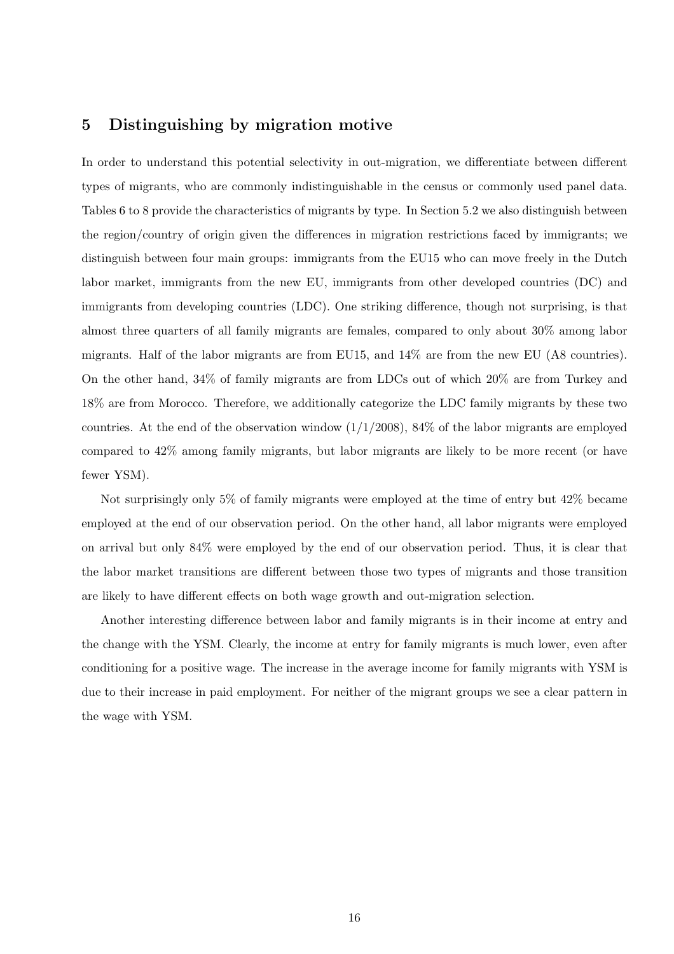### 5 Distinguishing by migration motive

In order to understand this potential selectivity in out-migration, we differentiate between different types of migrants, who are commonly indistinguishable in the census or commonly used panel data. Tables 6 to 8 provide the characteristics of migrants by type. In Section 5.2 we also distinguish between the region/country of origin given the differences in migration restrictions faced by immigrants; we distinguish between four main groups: immigrants from the EU15 who can move freely in the Dutch labor market, immigrants from the new EU, immigrants from other developed countries (DC) and immigrants from developing countries (LDC). One striking difference, though not surprising, is that almost three quarters of all family migrants are females, compared to only about 30% among labor migrants. Half of the labor migrants are from EU15, and 14% are from the new EU (A8 countries). On the other hand, 34% of family migrants are from LDCs out of which 20% are from Turkey and 18% are from Morocco. Therefore, we additionally categorize the LDC family migrants by these two countries. At the end of the observation window  $(1/1/2008)$ , 84% of the labor migrants are employed compared to 42% among family migrants, but labor migrants are likely to be more recent (or have fewer YSM).

Not surprisingly only 5% of family migrants were employed at the time of entry but 42% became employed at the end of our observation period. On the other hand, all labor migrants were employed on arrival but only 84% were employed by the end of our observation period. Thus, it is clear that the labor market transitions are different between those two types of migrants and those transition are likely to have different effects on both wage growth and out-migration selection.

Another interesting difference between labor and family migrants is in their income at entry and the change with the YSM. Clearly, the income at entry for family migrants is much lower, even after conditioning for a positive wage. The increase in the average income for family migrants with YSM is due to their increase in paid employment. For neither of the migrant groups we see a clear pattern in the wage with YSM.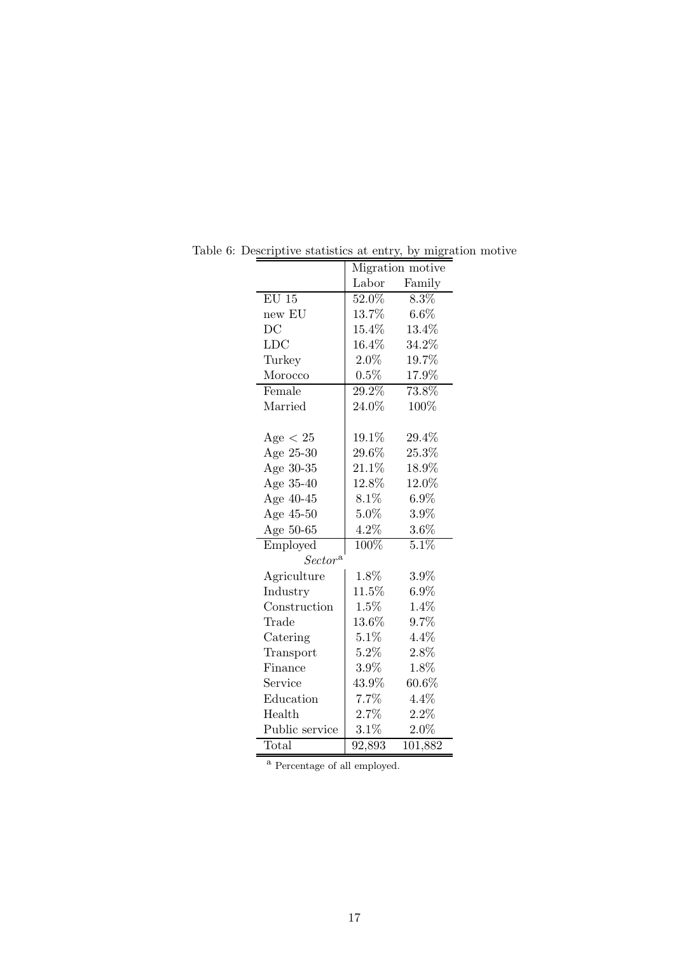|                |          | Migration motive   |
|----------------|----------|--------------------|
|                | Labor    | Family             |
| $EU$ 15        | 52.0%    | $8.3\%$            |
| new EU         | $13.7\%$ | $6.6\%$            |
| DC             | $15.4\%$ | 13.4%              |
| <b>LDC</b>     | $16.4\%$ | 34.2%              |
| Turkey         | $2.0\%$  | 19.7%              |
| Morocco        | $0.5\%$  | $17.9\%$           |
| Female         | 29.2%    | 73.8%              |
| Married        | $24.0\%$ | 100%               |
|                |          |                    |
| Age $< 25$     | 19.1%    | 29.4%              |
| Age 25-30      | $29.6\%$ | 25.3%              |
| Age 30-35      | $21.1\%$ | 18.9%              |
| Age 35-40      | $12.8\%$ | 12.0%              |
| Age 40-45      | $8.1\%$  | $6.9\%$            |
| Age 45-50      | 5.0%     | 3.9%               |
| Age 50-65      | $4.2\%$  | $3.6\%$            |
| Employed       | 100%     | $5.\overline{1\%}$ |
| $Sector^a$     |          |                    |
| Agriculture    | 1.8%     | 3.9%               |
| Industry       | 11.5%    | $6.9\%$            |
| Construction   | $1.5\%$  | 1.4%               |
| Trade          | $13.6\%$ | 9.7%               |
| Catering       | $5.1\%$  | 4.4%               |
| Transport      | $5.2\%$  | 2.8%               |
| Finance        | $3.9\%$  | 1.8%               |
| Service        | 43.9%    | $60.6\%$           |
| Education      | 7.7%     | 4.4%               |
| Health         | $2.7\%$  | 2.2%               |
| Public service | 3.1%     | $2.0\%$            |
| Total          | 92,893   | 101,882            |

Table 6: Descriptive statistics at entry, by migration motive

 $^{\mathrm{a}}$  Percentage of all employed.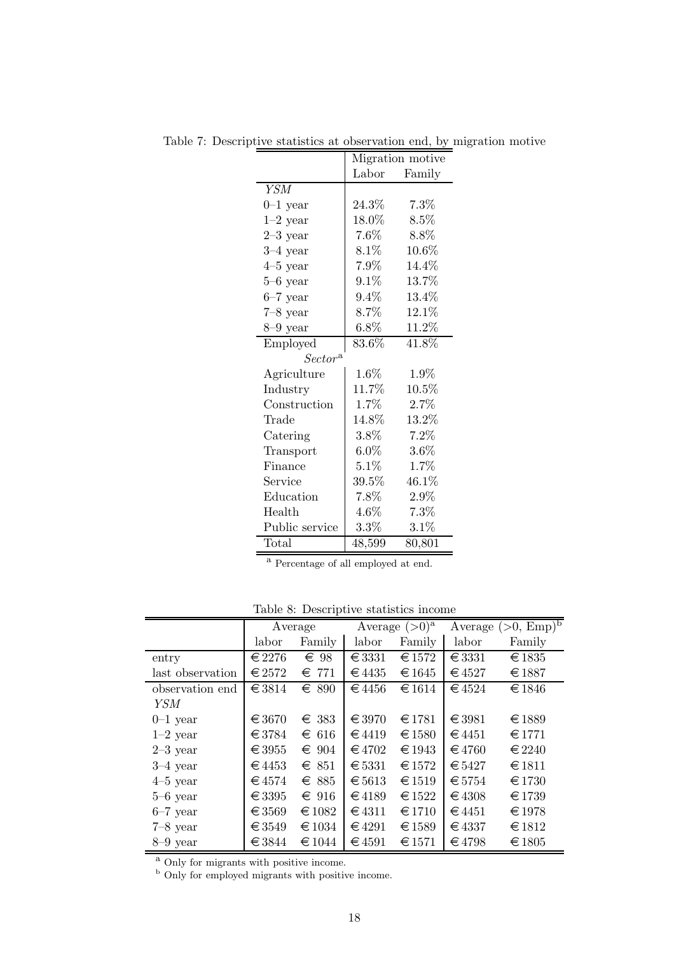|                |          | Migration motive |
|----------------|----------|------------------|
|                | Labor    | Family           |
| YSM            |          |                  |
| $0-1$ year     | 24.3%    | 7.3%             |
| $1-2$ year     | $18.0\%$ | 8.5%             |
| $2-3$ year     | $7.6\%$  | 8.8%             |
| $3-4$ year     | $8.1\%$  | $10.6\%$         |
| $4-5$ year     | $7.9\%$  | 14.4%            |
| $5-6$ year     | $9.1\%$  | 13.7%            |
| $6-7$ year     | $9.4\%$  | $13.4\%$         |
| $7-8$ year     | $8.7\%$  | 12.1%            |
| $8-9$ year     | $6.8\%$  | 11.2%            |
| Employed       | 83.6%    | 41.8%            |
| $Sector^a$     |          |                  |
| Agriculture    | $1.6\%$  | 1.9%             |
| Industry       | 11.7%    | 10.5%            |
| Construction   | 1.7%     | 2.7%             |
| Trade          | 14.8%    | 13.2%            |
| Catering       | $3.8\%$  | 7.2%             |
| Transport      | $6.0\%$  | $3.6\%$          |
| Finance        | $5.1\%$  | 1.7%             |
| Service        | $39.5\%$ | 46.1\%           |
| Education      | 7.8%     | $2.9\%$          |
| Health         | 4.6%     | 7.3%             |
| Public service | $3.3\%$  | $3.1\%$          |
| Total          | 48,599   | 80,801           |

Table 7: Descriptive statistics at observation end, by migration motive

 $\overline{\text{a}$  Percentage of all employed at end.

Table 8: Descriptive statistics income

|                  | Average         |                |            | Average $(>0)^a$ |                 | Average $(>0, \overline{\text{Emp}})^b$ |
|------------------|-----------------|----------------|------------|------------------|-----------------|-----------------------------------------|
|                  | labor           | Family         | labor      | Family           | labor           | Family                                  |
| entry            | $\in$ 2276      | $\epsilon$ 98  | $\in$ 3331 | $\in$ 1572       | $\in$ 3331      | €1835                                   |
| last observation | $\in$ 2572      | 771<br>€       | $\in$ 4435 | $\in$ 1645       | $\in$ 4527      | €1887                                   |
| observation end  | $\in$ 3814      | 890<br>€       | €4456      | $\in$ 1614       | $\in$ 4524      | $\in$ 1846                              |
| YSM              |                 |                |            |                  |                 |                                         |
| $0-1$ year       | $\in$ 3670      | $\in$ 383      | $\in$ 3970 | $\in$ 1781       | $\in$ 3981      | $\in$ 1889                              |
| $1-2$ year       | $\in$ 3784      | $\epsilon$ 616 | $\in$ 4419 | € 1580           | $\in$ 4451      | $\in$ 1771                              |
| $2-3$ year       | $\in$ 3955      | $\epsilon$ 904 | $\in$ 4702 | $\in$ 1943       | $\epsilon$ 4760 | $\in$ 2240                              |
| $3-4$ year       | $\in$ 4453      | $\in$ 851      | $\in 5331$ | $\in$ 1572       | $\epsilon$ 5427 | €1811                                   |
| $4-5$ year       | $\in$ 4574      | $\epsilon$ 885 | € $5613$   | $\in 1519$       | $\epsilon$ 5754 | $\in$ 1730                              |
| $5-6$ year       | $\in$ 3395      | $\epsilon$ 916 | $\in$ 4189 | $\in$ 1522       | $\in$ 4308      | $\in$ 1739                              |
| $6-7$ year       | $\epsilon$ 3569 | $\in 1082$     | $\in$ 4311 | $\in$ 1710       | $\in$ 4451      | $\epsilon$ 1978                         |
| $7-8$ year       | $\in$ 3549      | $\in 1034$     | $\in$ 4291 | $\in 1589$       | $\in$ 4337      | $\in$ 1812                              |
| $8-9$ year       | $\in$ 3844      | $\in 1044$     | $\in$ 4591 | $\in$ 1571       | €4798           | €1805                                   |

<sup>a</sup> Only for migrants with positive income.

<sup>b</sup> Only for employed migrants with positive income.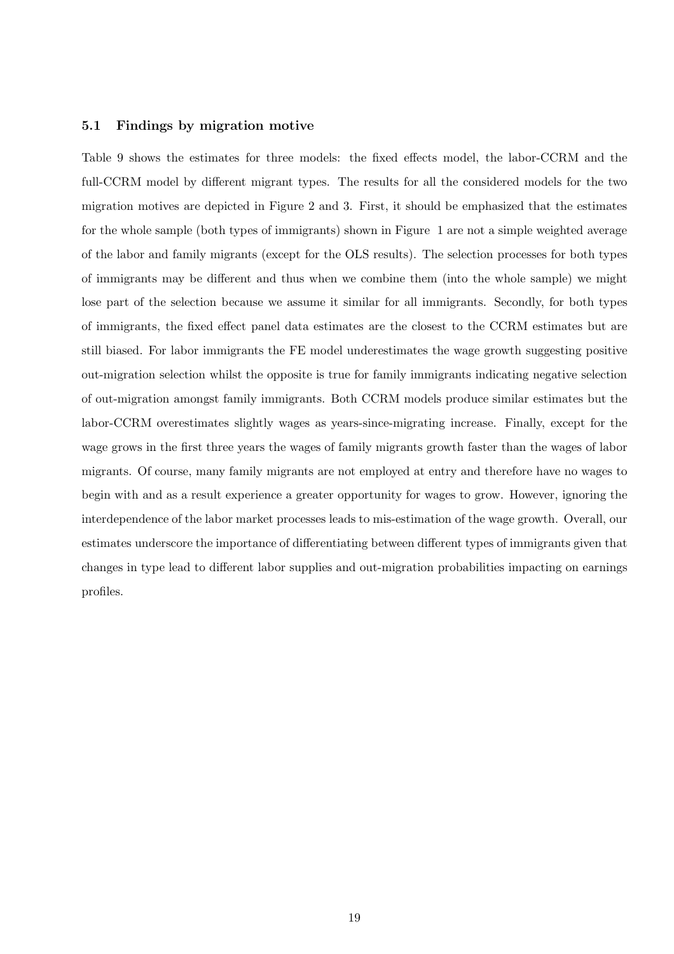#### 5.1 Findings by migration motive

Table 9 shows the estimates for three models: the fixed effects model, the labor-CCRM and the full-CCRM model by different migrant types. The results for all the considered models for the two migration motives are depicted in Figure 2 and 3. First, it should be emphasized that the estimates for the whole sample (both types of immigrants) shown in Figure 1 are not a simple weighted average of the labor and family migrants (except for the OLS results). The selection processes for both types of immigrants may be different and thus when we combine them (into the whole sample) we might lose part of the selection because we assume it similar for all immigrants. Secondly, for both types of immigrants, the fixed effect panel data estimates are the closest to the CCRM estimates but are still biased. For labor immigrants the FE model underestimates the wage growth suggesting positive out-migration selection whilst the opposite is true for family immigrants indicating negative selection of out-migration amongst family immigrants. Both CCRM models produce similar estimates but the labor-CCRM overestimates slightly wages as years-since-migrating increase. Finally, except for the wage grows in the first three years the wages of family migrants growth faster than the wages of labor migrants. Of course, many family migrants are not employed at entry and therefore have no wages to begin with and as a result experience a greater opportunity for wages to grow. However, ignoring the interdependence of the labor market processes leads to mis-estimation of the wage growth. Overall, our estimates underscore the importance of differentiating between different types of immigrants given that changes in type lead to different labor supplies and out-migration probabilities impacting on earnings profiles.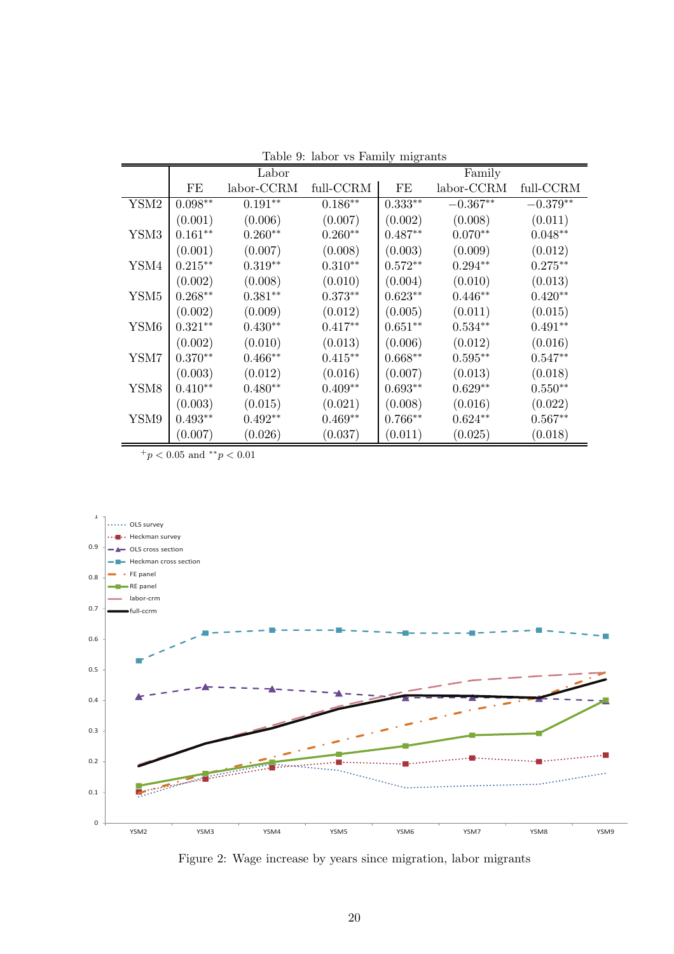|                  |                    | Labor      |           | $\mathbf{m}$ , $\mathbf{m}$ | Family     |            |
|------------------|--------------------|------------|-----------|-----------------------------|------------|------------|
|                  | FE                 | labor-CCRM | full-CCRM | FE                          | labor-CCRM | full-CCRM  |
| YSM2             | $0.098^{\ast\ast}$ | $0.191**$  | $0.186**$ | $0.333**$                   | $-0.367**$ | $-0.379**$ |
|                  | (0.001)            | (0.006)    | (0.007)   | (0.002)                     | (0.008)    | (0.011)    |
| YSM3             | $0.161**$          | $0.260**$  | $0.260**$ | $0.487**$                   | $0.070**$  | $0.048**$  |
|                  | (0.001)            | (0.007)    | (0.008)   | (0.003)                     | (0.009)    | (0.012)    |
| YSM4             | $0.215**$          | $0.319**$  | $0.310**$ | $0.572**$                   | $0.294**$  | $0.275**$  |
|                  | (0.002)            | (0.008)    | (0.010)   | (0.004)                     | (0.010)    | (0.013)    |
| YSM <sub>5</sub> | $0.268**$          | $0.381**$  | $0.373**$ | $0.623**$                   | $0.446**$  | $0.420**$  |
|                  | (0.002)            | (0.009)    | (0.012)   | (0.005)                     | (0.011)    | (0.015)    |
| YSM6             | $0.321**$          | $0.430**$  | $0.417**$ | $0.651**$                   | $0.534**$  | $0.491**$  |
|                  | (0.002)            | (0.010)    | (0.013)   | (0.006)                     | (0.012)    | (0.016)    |
| YSM7             | $0.370**$          | $0.466**$  | $0.415**$ | $0.668**$                   | $0.595**$  | $0.547**$  |
|                  | (0.003)            | (0.012)    | (0.016)   | (0.007)                     | (0.013)    | (0.018)    |
| YSM8             | $0.410**$          | $0.480**$  | $0.409**$ | $0.693**$                   | $0.629**$  | $0.550**$  |
|                  | (0.003)            | (0.015)    | (0.021)   | (0.008)                     | (0.016)    | (0.022)    |
| YSM9             | $0.493**$          | $0.492**$  | $0.469**$ | $0.766**$                   | $0.624**$  | $0.567**$  |
|                  | (0.007)            | (0.026)    | (0.037)   | (0.011)                     | (0.025)    | (0.018)    |

Table 9: labor vs Family migrants

 $^+p<0.05$  and  $^{\ast\ast}p<0.01$ 



Figure 2: Wage increase by years since migration, labor migrants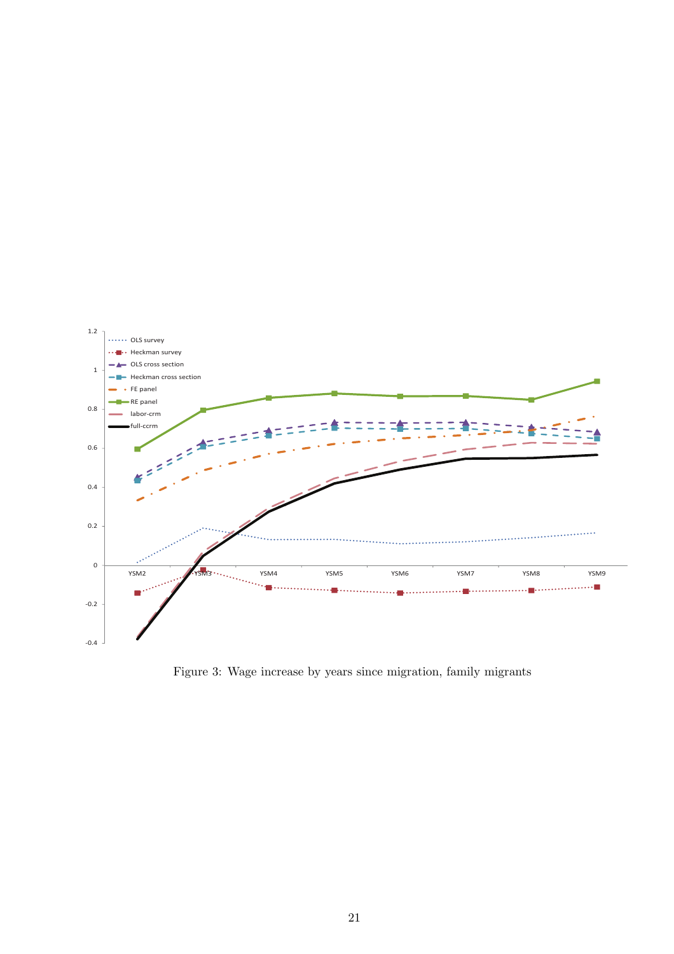

Figure 3: Wage increase by years since migration, family migrants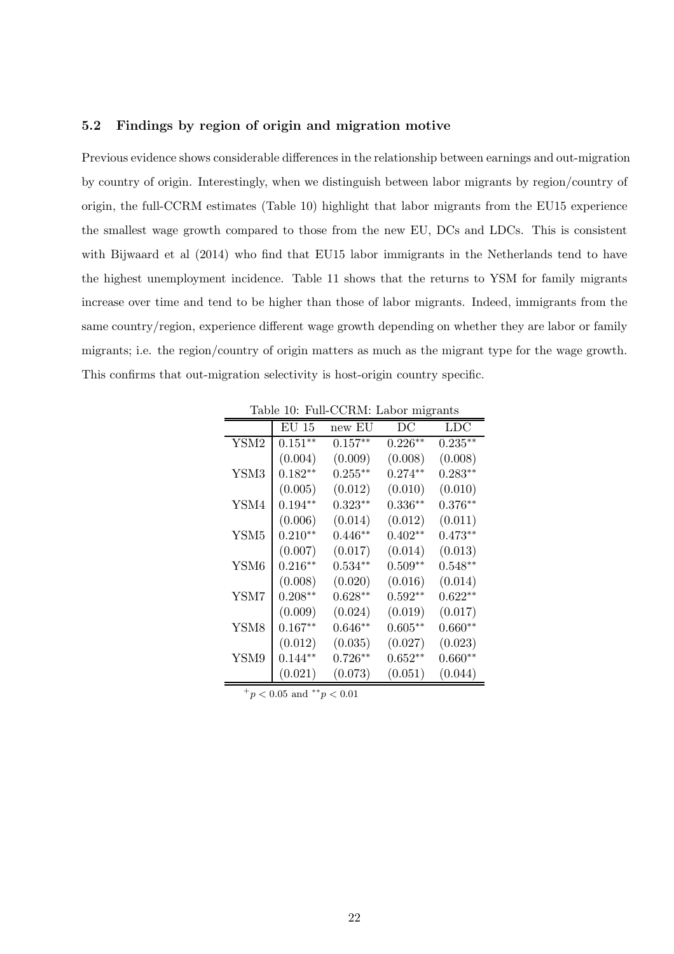#### 5.2 Findings by region of origin and migration motive

Previous evidence shows considerable differences in the relationship between earnings and out-migration by country of origin. Interestingly, when we distinguish between labor migrants by region/country of origin, the full-CCRM estimates (Table 10) highlight that labor migrants from the EU15 experience the smallest wage growth compared to those from the new EU, DCs and LDCs. This is consistent with Bijwaard et al (2014) who find that EU15 labor immigrants in the Netherlands tend to have the highest unemployment incidence. Table 11 shows that the returns to YSM for family migrants increase over time and tend to be higher than those of labor migrants. Indeed, immigrants from the same country/region, experience different wage growth depending on whether they are labor or family migrants; i.e. the region/country of origin matters as much as the migrant type for the wage growth. This confirms that out-migration selectivity is host-origin country specific.

|                  | $EU$ 15   | new EU     | DC        | <b>LDC</b> |
|------------------|-----------|------------|-----------|------------|
| YSM2             | $0.151**$ | $0.157**$  | $0.226**$ | $0.235**$  |
|                  | (0.004)   | (0.009)    | (0.008)   | (0.008)    |
| YSM3             | $0.182**$ | $0.255***$ | $0.274**$ | $0.283**$  |
|                  | (0.005)   | (0.012)    | (0.010)   | (0.010)    |
| YSM4             | $0.194**$ | $0.323**$  | $0.336**$ | $0.376**$  |
|                  | (0.006)   | (0.014)    | (0.012)   | (0.011)    |
| YSM <sub>5</sub> | $0.210**$ | $0.446**$  | $0.402**$ | $0.473**$  |
|                  | (0.007)   | (0.017)    | (0.014)   | (0.013)    |
| YSM <sub>6</sub> | $0.216**$ | $0.534**$  | $0.509**$ | $0.548**$  |
|                  | (0.008)   | (0.020)    | (0.016)   | (0.014)    |
| YSM7             | $0.208**$ | $0.628**$  | $0.592**$ | $0.622**$  |
|                  | (0.009)   | (0.024)    | (0.019)   | (0.017)    |
| YSM8             | $0.167**$ | $0.646**$  | $0.605**$ | $0.660**$  |
|                  | (0.012)   | (0.035)    | (0.027)   | (0.023)    |
| YSM9             | $0.144**$ | $0.726**$  | $0.652**$ | $0.660**$  |
|                  | (0.021)   | (0.073)    | (0.051)   | (0.044)    |

Table 10: Full-CCRM: Labor migrants

 $^{+}p$  < 0.05 and \*\*p < 0.01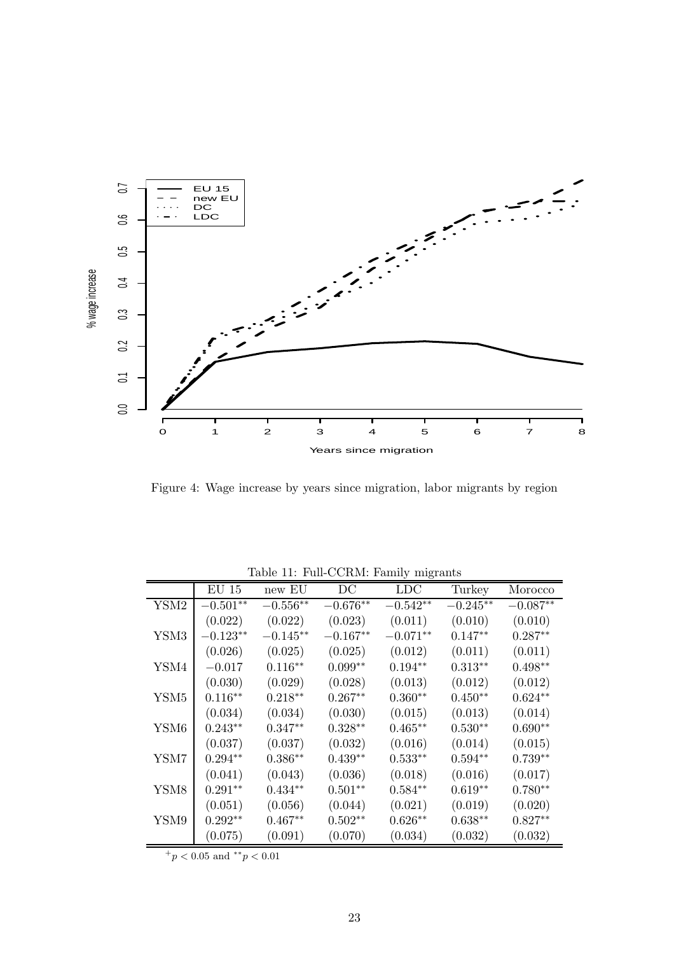

Figure 4: Wage increase by years since migration, labor migrants by region

|                  |            |            | rable 11. I all Cortini. Falling migrants |            |            |            |
|------------------|------------|------------|-------------------------------------------|------------|------------|------------|
|                  | EU 15      | new EU     | DC                                        | <b>LDC</b> | Turkey     | Morocco    |
| YSM2             | $-0.501**$ | $-0.556**$ | $-0.676**$                                | $-0.542**$ | $-0.245**$ | $-0.087**$ |
|                  | (0.022)    | (0.022)    | (0.023)                                   | (0.011)    | (0.010)    | (0.010)    |
| YSM3             | $-0.123**$ | $-0.145**$ | $-0.167**$                                | $-0.071**$ | $0.147**$  | $0.287**$  |
|                  | (0.026)    | (0.025)    | (0.025)                                   | (0.012)    | (0.011)    | (0.011)    |
| YSM4             | $-0.017$   | $0.116**$  | $0.099**$                                 | $0.194**$  | $0.313**$  | $0.498**$  |
|                  | (0.030)    | (0.029)    | (0.028)                                   | (0.013)    | (0.012)    | (0.012)    |
| YSM5             | $0.116**$  | $0.218**$  | $0.267**$                                 | $0.360**$  | $0.450**$  | $0.624**$  |
|                  | (0.034)    | (0.034)    | (0.030)                                   | (0.015)    | (0.013)    | (0.014)    |
| YSM <sub>6</sub> | $0.243**$  | $0.347**$  | $0.328**$                                 | $0.465**$  | $0.530**$  | $0.690**$  |
|                  | (0.037)    | (0.037)    | (0.032)                                   | (0.016)    | (0.014)    | (0.015)    |
| YSM7             | $0.294**$  | $0.386**$  | $0.439**$                                 | $0.533**$  | $0.594**$  | $0.739**$  |
|                  | (0.041)    | (0.043)    | (0.036)                                   | (0.018)    | (0.016)    | (0.017)    |
| YSM8             | $0.291**$  | $0.434**$  | $0.501**$                                 | $0.584**$  | $0.619**$  | $0.780**$  |
|                  | (0.051)    | (0.056)    | (0.044)                                   | (0.021)    | (0.019)    | (0.020)    |
| YSM9             | $0.292**$  | $0.467**$  | $0.502**$                                 | $0.626**$  | $0.638**$  | $0.827**$  |
|                  | (0.075)    | (0.091)    | (0.070)                                   | (0.034)    | (0.032)    | (0.032)    |

Table 11: Full-CCRM: Family migrants

 $^{+}p<0.05$  and  $^{\ast\ast}p<0.01$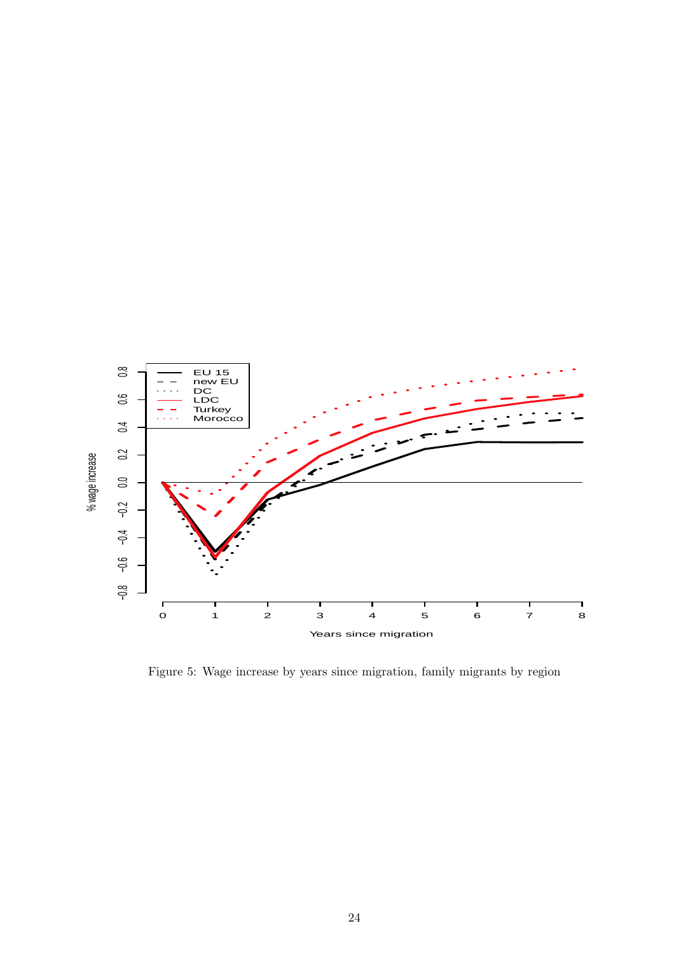

Figure 5: Wage increase by years since migration, family migrants by region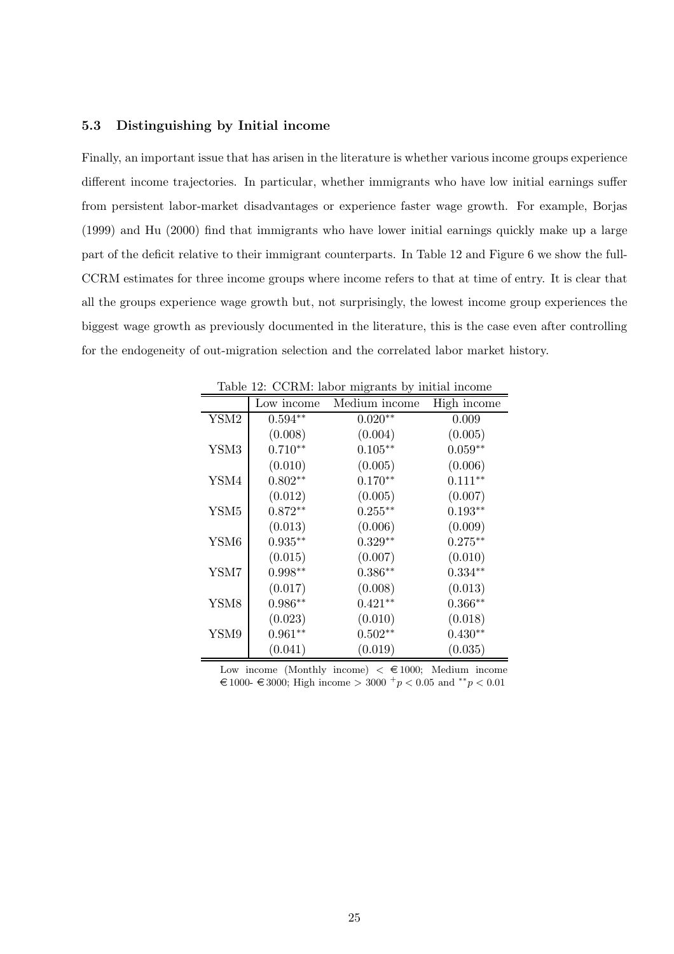#### 5.3 Distinguishing by Initial income

Finally, an important issue that has arisen in the literature is whether various income groups experience different income trajectories. In particular, whether immigrants who have low initial earnings suffer from persistent labor-market disadvantages or experience faster wage growth. For example, Borjas (1999) and Hu (2000) find that immigrants who have lower initial earnings quickly make up a large part of the deficit relative to their immigrant counterparts. In Table 12 and Figure 6 we show the full-CCRM estimates for three income groups where income refers to that at time of entry. It is clear that all the groups experience wage growth but, not surprisingly, the lowest income group experiences the biggest wage growth as previously documented in the literature, this is the case even after controlling for the endogeneity of out-migration selection and the correlated labor market history.

|                  |            | CONTROL RESEARCH BY HIMMAN HIGHING |             |
|------------------|------------|------------------------------------|-------------|
|                  | Low income | Medium income                      | High income |
| YSM2             | $0.594**$  | $0.020**$                          | 0.009       |
|                  | (0.008)    | (0.004)                            | (0.005)     |
| YSM3             | $0.710**$  | $0.105***$                         | $0.059**$   |
|                  | (0.010)    | (0.005)                            | (0.006)     |
| YSM4             | $0.802**$  | $0.170**$                          | $0.111**$   |
|                  | (0.012)    | (0.005)                            | (0.007)     |
| YSM <sub>5</sub> | $0.872**$  | $0.255***$                         | $0.193**$   |
|                  | (0.013)    | (0.006)                            | (0.009)     |
| YSM6             | $0.935***$ | $0.329**$                          | $0.275***$  |
|                  | (0.015)    | (0.007)                            | (0.010)     |
| YSM7             | $0.998**$  | $0.386**$                          | $0.334**$   |
|                  | (0.017)    | (0.008)                            | (0.013)     |
| YSM8             | $0.986**$  | $0.421**$                          | $0.366**$   |
|                  | (0.023)    | (0.010)                            | (0.018)     |
| YSM9             | $0.961**$  | $0.502**$                          | $0.430**$   |
|                  | (0.041)    | (0.019)                            | (0.035)     |

Table 12: CCRM: labor migrants by initial income

Low income (Monthly income)  $\lt \text{\textsterling}1000$ ; Medium income  $€ 1000- € 3000;$  High income > 3000 <sup>+</sup> p < 0.05 and \*\* p < 0.01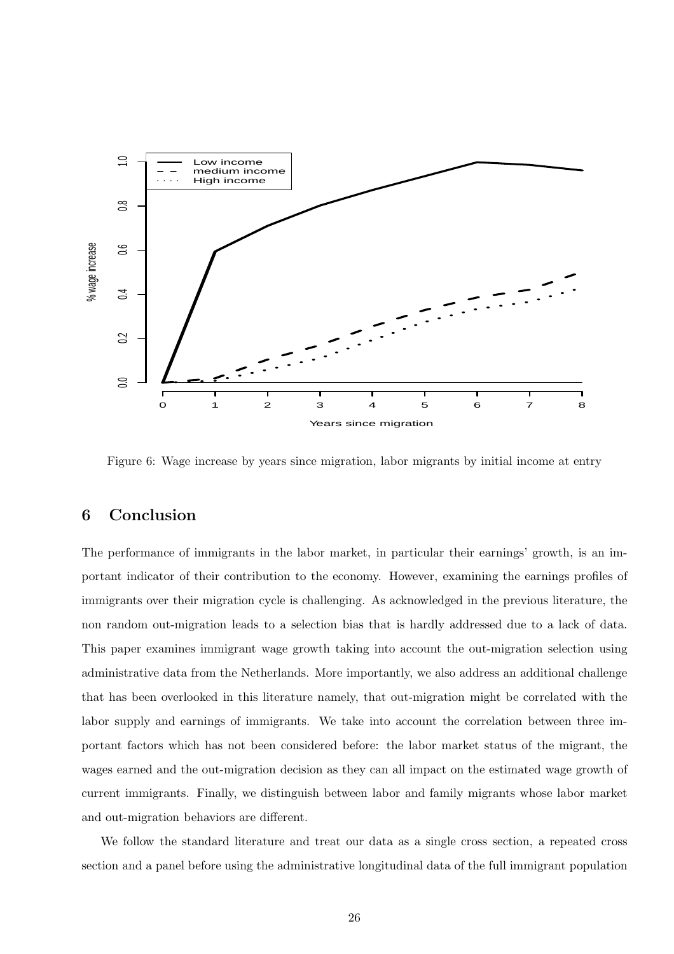

Figure 6: Wage increase by years since migration, labor migrants by initial income at entry

# 6 Conclusion

The performance of immigrants in the labor market, in particular their earnings' growth, is an important indicator of their contribution to the economy. However, examining the earnings profiles of immigrants over their migration cycle is challenging. As acknowledged in the previous literature, the non random out-migration leads to a selection bias that is hardly addressed due to a lack of data. This paper examines immigrant wage growth taking into account the out-migration selection using administrative data from the Netherlands. More importantly, we also address an additional challenge that has been overlooked in this literature namely, that out-migration might be correlated with the labor supply and earnings of immigrants. We take into account the correlation between three important factors which has not been considered before: the labor market status of the migrant, the wages earned and the out-migration decision as they can all impact on the estimated wage growth of current immigrants. Finally, we distinguish between labor and family migrants whose labor market and out-migration behaviors are different.

We follow the standard literature and treat our data as a single cross section, a repeated cross section and a panel before using the administrative longitudinal data of the full immigrant population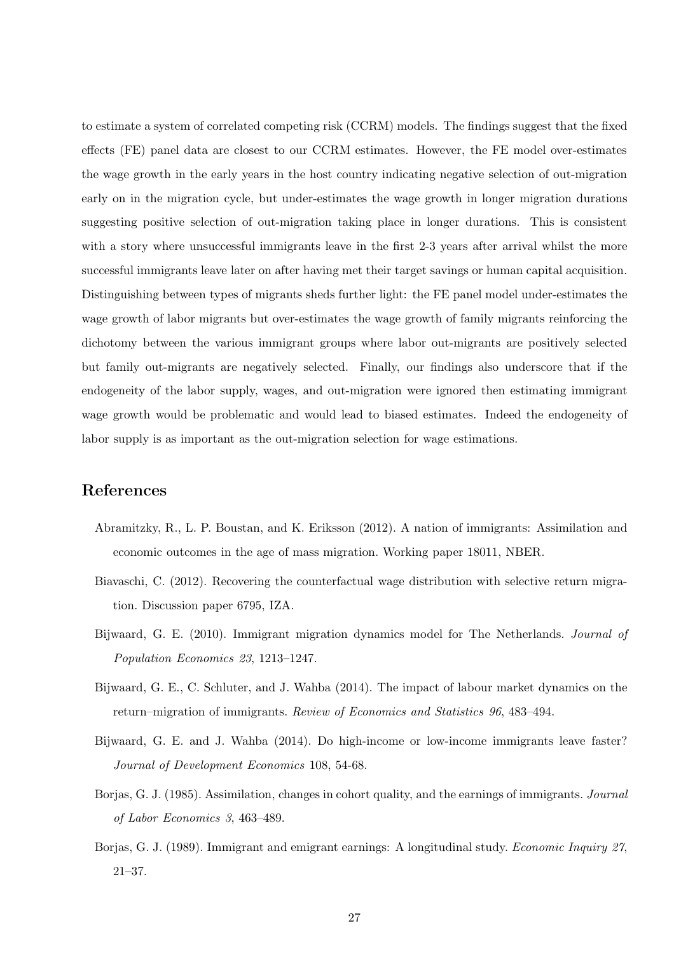to estimate a system of correlated competing risk (CCRM) models. The findings suggest that the fixed effects (FE) panel data are closest to our CCRM estimates. However, the FE model over-estimates the wage growth in the early years in the host country indicating negative selection of out-migration early on in the migration cycle, but under-estimates the wage growth in longer migration durations suggesting positive selection of out-migration taking place in longer durations. This is consistent with a story where unsuccessful immigrants leave in the first 2-3 years after arrival whilst the more successful immigrants leave later on after having met their target savings or human capital acquisition. Distinguishing between types of migrants sheds further light: the FE panel model under-estimates the wage growth of labor migrants but over-estimates the wage growth of family migrants reinforcing the dichotomy between the various immigrant groups where labor out-migrants are positively selected but family out-migrants are negatively selected. Finally, our findings also underscore that if the endogeneity of the labor supply, wages, and out-migration were ignored then estimating immigrant wage growth would be problematic and would lead to biased estimates. Indeed the endogeneity of labor supply is as important as the out-migration selection for wage estimations.

# References

- Abramitzky, R., L. P. Boustan, and K. Eriksson (2012). A nation of immigrants: Assimilation and economic outcomes in the age of mass migration. Working paper 18011, NBER.
- Biavaschi, C. (2012). Recovering the counterfactual wage distribution with selective return migration. Discussion paper 6795, IZA.
- Bijwaard, G. E. (2010). Immigrant migration dynamics model for The Netherlands. Journal of Population Economics 23, 1213–1247.
- Bijwaard, G. E., C. Schluter, and J. Wahba (2014). The impact of labour market dynamics on the return–migration of immigrants. Review of Economics and Statistics 96, 483–494.
- Bijwaard, G. E. and J. Wahba (2014). Do high-income or low-income immigrants leave faster? Journal of Development Economics 108, 54-68.
- Borjas, G. J. (1985). Assimilation, changes in cohort quality, and the earnings of immigrants. Journal of Labor Economics 3, 463–489.
- Borjas, G. J. (1989). Immigrant and emigrant earnings: A longitudinal study. Economic Inquiry 27, 21–37.